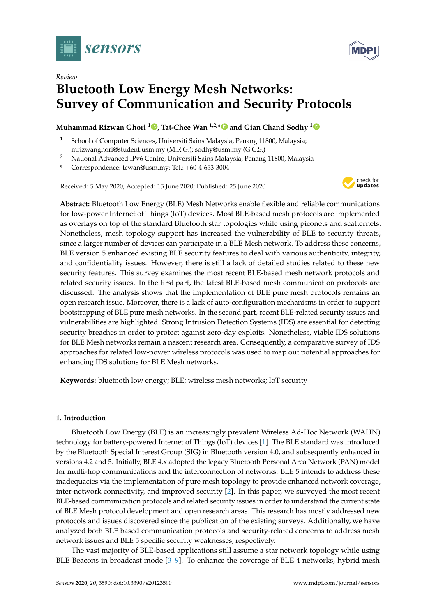



# *Review* **Bluetooth Low Energy Mesh Networks: Survey of Communication and Security Protocols**

# **Muhammad Rizwan Ghori <sup>1</sup> [,](https://orcid.org/ https://orcid.org/0000-0002-2247-5723) Tat-Chee Wan 1,2,[\\*](https://orcid.org/0000-0002-3094-8228) and Gian Chand Sodhy [1](https://orcid.org/0000-0002-2955-6462)**

- School of Computer Sciences, Universiti Sains Malaysia, Penang 11800, Malaysia; mrizwanghori@student.usm.my (M.R.G.); sodhy@usm.my (G.C.S.)
- <sup>2</sup> National Advanced IPv6 Centre, Universiti Sains Malaysia, Penang 11800, Malaysia
- **\*** Correspondence: tcwan@usm.my; Tel.: +60-4-653-3004

Received: 5 May 2020; Accepted: 15 June 2020; Published: 25 June 2020



**Abstract:** Bluetooth Low Energy (BLE) Mesh Networks enable flexible and reliable communications for low-power Internet of Things (IoT) devices. Most BLE-based mesh protocols are implemented as overlays on top of the standard Bluetooth star topologies while using piconets and scatternets. Nonetheless, mesh topology support has increased the vulnerability of BLE to security threats, since a larger number of devices can participate in a BLE Mesh network. To address these concerns, BLE version 5 enhanced existing BLE security features to deal with various authenticity, integrity, and confidentiality issues. However, there is still a lack of detailed studies related to these new security features. This survey examines the most recent BLE-based mesh network protocols and related security issues. In the first part, the latest BLE-based mesh communication protocols are discussed. The analysis shows that the implementation of BLE pure mesh protocols remains an open research issue. Moreover, there is a lack of auto-configuration mechanisms in order to support bootstrapping of BLE pure mesh networks. In the second part, recent BLE-related security issues and vulnerabilities are highlighted. Strong Intrusion Detection Systems (IDS) are essential for detecting security breaches in order to protect against zero-day exploits. Nonetheless, viable IDS solutions for BLE Mesh networks remain a nascent research area. Consequently, a comparative survey of IDS approaches for related low-power wireless protocols was used to map out potential approaches for enhancing IDS solutions for BLE Mesh networks.

**Keywords:** bluetooth low energy; BLE; wireless mesh networks; IoT security

# **1. Introduction**

Bluetooth Low Energy (BLE) is an increasingly prevalent Wireless Ad-Hoc Network (WAHN) technology for battery-powered Internet of Things (IoT) devices [\[1\]](#page-29-0). The BLE standard was introduced by the Bluetooth Special Interest Group (SIG) in Bluetooth version 4.0, and subsequently enhanced in versions 4.2 and 5. Initially, BLE 4.x adopted the legacy Bluetooth Personal Area Network (PAN) model for multi-hop communications and the interconnection of networks. BLE 5 intends to address these inadequacies via the implementation of pure mesh topology to provide enhanced network coverage, inter-network connectivity, and improved security [\[2\]](#page-29-1). In this paper, we surveyed the most recent BLE-based communication protocols and related security issues in order to understand the current state of BLE Mesh protocol development and open research areas. This research has mostly addressed new protocols and issues discovered since the publication of the existing surveys. Additionally, we have analyzed both BLE based communication protocols and security-related concerns to address mesh network issues and BLE 5 specific security weaknesses, respectively.

The vast majority of BLE-based applications still assume a star network topology while using BLE Beacons in broadcast mode  $[3-9]$  $[3-9]$ . To enhance the coverage of BLE 4 networks, hybrid mesh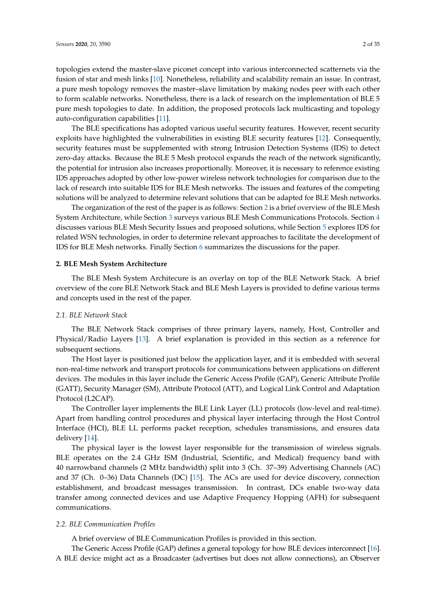topologies extend the master-slave piconet concept into various interconnected scatternets via the fusion of star and mesh links [\[10\]](#page-29-4). Nonetheless, reliability and scalability remain an issue. In contrast, a pure mesh topology removes the master–slave limitation by making nodes peer with each other to form scalable networks. Nonetheless, there is a lack of research on the implementation of BLE 5 pure mesh topologies to date. In addition, the proposed protocols lack multicasting and topology auto-configuration capabilities [\[11\]](#page-29-5).

The BLE specifications has adopted various useful security features. However, recent security exploits have highlighted the vulnerabilities in existing BLE security features [\[12\]](#page-29-6). Consequently, security features must be supplemented with strong Intrusion Detection Systems (IDS) to detect zero-day attacks. Because the BLE 5 Mesh protocol expands the reach of the network significantly, the potential for intrusion also increases proportionally. Moreover, it is necessary to reference existing IDS approaches adopted by other low-power wireless network technologies for comparison due to the lack of research into suitable IDS for BLE Mesh networks. The issues and features of the competing solutions will be analyzed to determine relevant solutions that can be adapted for BLE Mesh networks.

The organization of the rest of the paper is as follows: Section [2](#page-1-0) is a brief overview of the BLE Mesh System Architecture, while Section [3](#page-3-0) surveys various BLE Mesh Communications Protocols. Section [4](#page-11-0) discusses various BLE Mesh Security Issues and proposed solutions, while Section [5](#page-16-0) explores IDS for related WSN technologies, in order to determine relevant approaches to facilitate the development of IDS for BLE Mesh networks. Finally Section [6](#page-24-0) summarizes the discussions for the paper.

### <span id="page-1-0"></span>**2. BLE Mesh System Architecture**

The BLE Mesh System Architecure is an overlay on top of the BLE Network Stack. A brief overview of the core BLE Network Stack and BLE Mesh Layers is provided to define various terms and concepts used in the rest of the paper.

### *2.1. BLE Network Stack*

The BLE Network Stack comprises of three primary layers, namely, Host, Controller and Physical/Radio Layers [\[13\]](#page-29-7). A brief explanation is provided in this section as a reference for subsequent sections.

The Host layer is positioned just below the application layer, and it is embedded with several non-real-time network and transport protocols for communications between applications on different devices. The modules in this layer include the Generic Access Profile (GAP), Generic Attribute Profile (GATT), Security Manager (SM), Attribute Protocol (ATT), and Logical Link Control and Adaptation Protocol (L2CAP).

The Controller layer implements the BLE Link Layer (LL) protocols (low-level and real-time). Apart from handling control procedures and physical layer interfacing through the Host Control Interface (HCI), BLE LL performs packet reception, schedules transmissions, and ensures data delivery [\[14\]](#page-29-8).

The physical layer is the lowest layer responsible for the transmission of wireless signals. BLE operates on the 2.4 GHz ISM (Industrial, Scientific, and Medical) frequency band with 40 narrowband channels (2 MHz bandwidth) split into 3 (Ch. 37–39) Advertising Channels (AC) and 37 (Ch. 0–36) Data Channels (DC) [\[15\]](#page-30-0). The ACs are used for device discovery, connection establishment, and broadcast messages transmission. In contrast, DCs enable two-way data transfer among connected devices and use Adaptive Frequency Hopping (AFH) for subsequent communications.

### *2.2. BLE Communication Profiles*

A brief overview of BLE Communication Profiles is provided in this section.

The Generic Access Profile (GAP) defines a general topology for how BLE devices interconnect [\[16\]](#page-30-1). A BLE device might act as a Broadcaster (advertises but does not allow connections), an Observer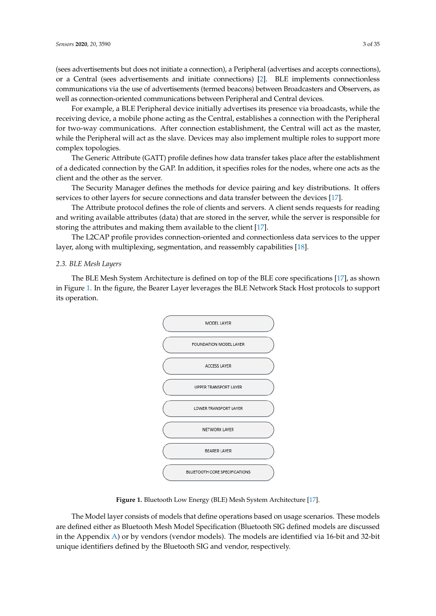(sees advertisements but does not initiate a connection), a Peripheral (advertises and accepts connections), or a Central (sees advertisements and initiate connections) [\[2\]](#page-29-1). BLE implements connectionless communications via the use of advertisements (termed beacons) between Broadcasters and Observers, as well as connection-oriented communications between Peripheral and Central devices.

For example, a BLE Peripheral device initially advertises its presence via broadcasts, while the receiving device, a mobile phone acting as the Central, establishes a connection with the Peripheral for two-way communications. After connection establishment, the Central will act as the master, while the Peripheral will act as the slave. Devices may also implement multiple roles to support more complex topologies.

The Generic Attribute (GATT) profile defines how data transfer takes place after the establishment of a dedicated connection by the GAP. In addition, it specifies roles for the nodes, where one acts as the client and the other as the server.

The Security Manager defines the methods for device pairing and key distributions. It offers services to other layers for secure connections and data transfer between the devices [\[17\]](#page-30-2).

The Attribute protocol defines the role of clients and servers. A client sends requests for reading and writing available attributes (data) that are stored in the server, while the server is responsible for storing the attributes and making them available to the client [\[17\]](#page-30-2).

The L2CAP profile provides connection-oriented and connectionless data services to the upper layer, along with multiplexing, segmentation, and reassembly capabilities [\[18\]](#page-30-3).

#### *2.3. BLE Mesh Layers*

<span id="page-2-0"></span>The BLE Mesh System Architecture is defined on top of the BLE core specifications [\[17\]](#page-30-2), as shown in Figure [1.](#page-2-0) In the figure, the Bearer Layer leverages the BLE Network Stack Host protocols to support its operation.



**Figure 1.** Bluetooth Low Energy (BLE) Mesh System Architecture [\[17\]](#page-30-2).

The Model layer consists of models that define operations based on usage scenarios. These models are defined either as Bluetooth Mesh Model Specification (Bluetooth SIG defined models are discussed in the Appendix [A\)](#page-27-0) or by vendors (vendor models). The models are identified via 16-bit and 32-bit unique identifiers defined by the Bluetooth SIG and vendor, respectively.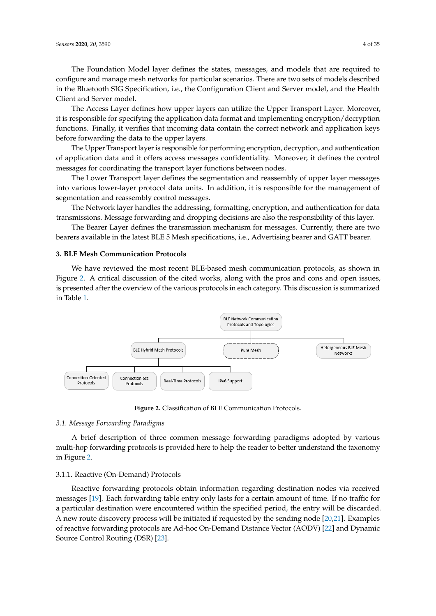The Foundation Model layer defines the states, messages, and models that are required to configure and manage mesh networks for particular scenarios. There are two sets of models described in the Bluetooth SIG Specification, i.e., the Configuration Client and Server model, and the Health Client and Server model.

The Access Layer defines how upper layers can utilize the Upper Transport Layer. Moreover, it is responsible for specifying the application data format and implementing encryption/decryption functions. Finally, it verifies that incoming data contain the correct network and application keys before forwarding the data to the upper layers.

The Upper Transport layer is responsible for performing encryption, decryption, and authentication of application data and it offers access messages confidentiality. Moreover, it defines the control messages for coordinating the transport layer functions between nodes.

The Lower Transport layer defines the segmentation and reassembly of upper layer messages into various lower-layer protocol data units. In addition, it is responsible for the management of segmentation and reassembly control messages.

The Network layer handles the addressing, formatting, encryption, and authentication for data transmissions. Message forwarding and dropping decisions are also the responsibility of this layer.

The Bearer Layer defines the transmission mechanism for messages. Currently, there are two bearers available in the latest BLE 5 Mesh specifications, i.e., Advertising bearer and GATT bearer.

### <span id="page-3-0"></span>**3. BLE Mesh Communication Protocols**

We have reviewed the most recent BLE-based mesh communication protocols, as shown in Figure [2.](#page-3-1) A critical discussion of the cited works, along with the pros and cons and open issues, is presented after the overview of the various protocols in each category. This discussion is summarized in Table [1.](#page-9-0)

<span id="page-3-1"></span>

**Figure 2.** Classification of BLE Communication Protocols.

# *3.1. Message Forwarding Paradigms*

A brief description of three common message forwarding paradigms adopted by various multi-hop forwarding protocols is provided here to help the reader to better understand the taxonomy in Figure [2.](#page-3-1)

#### 3.1.1. Reactive (On-Demand) Protocols

Reactive forwarding protocols obtain information regarding destination nodes via received messages [\[19\]](#page-30-4). Each forwarding table entry only lasts for a certain amount of time. If no traffic for a particular destination were encountered within the specified period, the entry will be discarded. A new route discovery process will be initiated if requested by the sending node [\[20,](#page-30-5)[21\]](#page-30-6). Examples of reactive forwarding protocols are Ad-hoc On-Demand Distance Vector (AODV) [\[22\]](#page-30-7) and Dynamic Source Control Routing (DSR) [\[23\]](#page-30-8).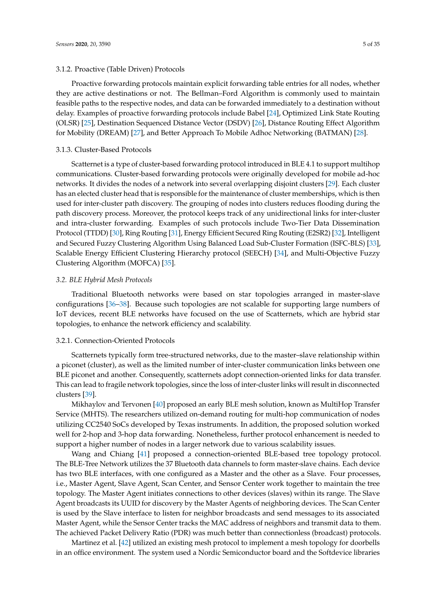### 3.1.2. Proactive (Table Driven) Protocols

Proactive forwarding protocols maintain explicit forwarding table entries for all nodes, whether they are active destinations or not. The Bellman–Ford Algorithm is commonly used to maintain feasible paths to the respective nodes, and data can be forwarded immediately to a destination without delay. Examples of proactive forwarding protocols include Babel [\[24\]](#page-30-9), Optimized Link State Routing (OLSR) [\[25\]](#page-30-10), Destination Sequenced Distance Vector (DSDV) [\[26\]](#page-30-11), Distance Routing Effect Algorithm for Mobility (DREAM) [\[27\]](#page-30-12), and Better Approach To Mobile Adhoc Networking (BATMAN) [\[28\]](#page-30-13).

#### 3.1.3. Cluster-Based Protocols

Scatternet is a type of cluster-based forwarding protocol introduced in BLE 4.1 to support multihop communications. Cluster-based forwarding protocols were originally developed for mobile ad-hoc networks. It divides the nodes of a network into several overlapping disjoint clusters [\[29\]](#page-30-14). Each cluster has an elected cluster head that is responsible for the maintenance of cluster memberships, which is then used for inter-cluster path discovery. The grouping of nodes into clusters reduces flooding during the path discovery process. Moreover, the protocol keeps track of any unidirectional links for inter-cluster and intra-cluster forwarding. Examples of such protocols include Two-Tier Data Dissemination Protocol (TTDD) [\[30\]](#page-30-15), Ring Routing [\[31\]](#page-30-16), Energy Efficient Secured Ring Routing (E2SR2) [\[32\]](#page-30-17), Intelligent and Secured Fuzzy Clustering Algorithm Using Balanced Load Sub-Cluster Formation (ISFC-BLS) [\[33\]](#page-30-18), Scalable Energy Efficient Clustering Hierarchy protocol (SEECH) [\[34\]](#page-30-19), and Multi-Objective Fuzzy Clustering Algorithm (MOFCA) [\[35\]](#page-30-20).

#### *3.2. BLE Hybrid Mesh Protocols*

Traditional Bluetooth networks were based on star topologies arranged in master-slave configurations [\[36](#page-30-21)[–38\]](#page-31-0). Because such topologies are not scalable for supporting large numbers of IoT devices, recent BLE networks have focused on the use of Scatternets, which are hybrid star topologies, to enhance the network efficiency and scalability.

### 3.2.1. Connection-Oriented Protocols

Scatternets typically form tree-structured networks, due to the master–slave relationship within a piconet (cluster), as well as the limited number of inter-cluster communication links between one BLE piconet and another. Consequently, scatternets adopt connection-oriented links for data transfer. This can lead to fragile network topologies, since the loss of inter-cluster links will result in disconnected clusters [\[39\]](#page-31-1).

Mikhaylov and Tervonen [\[40\]](#page-31-2) proposed an early BLE mesh solution, known as MultiHop Transfer Service (MHTS). The researchers utilized on-demand routing for multi-hop communication of nodes utilizing CC2540 SoCs developed by Texas instruments. In addition, the proposed solution worked well for 2-hop and 3-hop data forwarding. Nonetheless, further protocol enhancement is needed to support a higher number of nodes in a larger network due to various scalability issues.

Wang and Chiang [\[41\]](#page-31-3) proposed a connection-oriented BLE-based tree topology protocol. The BLE-Tree Network utilizes the 37 Bluetooth data channels to form master-slave chains. Each device has two BLE interfaces, with one configured as a Master and the other as a Slave. Four processes, i.e., Master Agent, Slave Agent, Scan Center, and Sensor Center work together to maintain the tree topology. The Master Agent initiates connections to other devices (slaves) within its range. The Slave Agent broadcasts its UUID for discovery by the Master Agents of neighboring devices. The Scan Center is used by the Slave interface to listen for neighbor broadcasts and send messages to its associated Master Agent, while the Sensor Center tracks the MAC address of neighbors and transmit data to them. The achieved Packet Delivery Ratio (PDR) was much better than connectionless (broadcast) protocols.

Martinez et al. [\[42\]](#page-31-4) utilized an existing mesh protocol to implement a mesh topology for doorbells in an office environment. The system used a Nordic Semiconductor board and the Softdevice libraries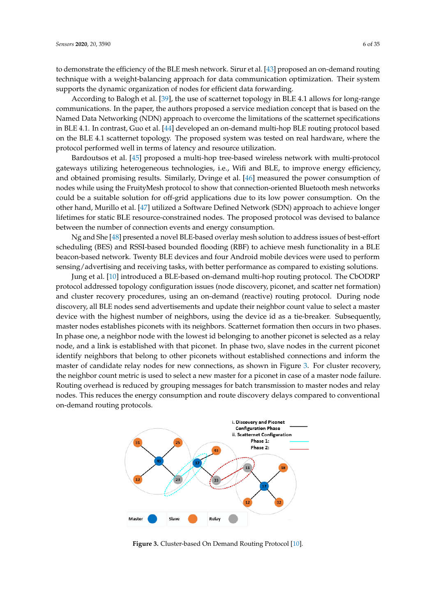to demonstrate the efficiency of the BLE mesh network. Sirur et al. [\[43\]](#page-31-5) proposed an on-demand routing technique with a weight-balancing approach for data communication optimization. Their system supports the dynamic organization of nodes for efficient data forwarding.

According to Balogh et al. [\[39\]](#page-31-1), the use of scatternet topology in BLE 4.1 allows for long-range communications. In the paper, the authors proposed a service mediation concept that is based on the Named Data Networking (NDN) approach to overcome the limitations of the scatternet specifications in BLE 4.1. In contrast, Guo et al. [\[44\]](#page-31-6) developed an on-demand multi-hop BLE routing protocol based on the BLE 4.1 scatternet topology. The proposed system was tested on real hardware, where the protocol performed well in terms of latency and resource utilization.

Bardoutsos et al. [\[45\]](#page-31-7) proposed a multi-hop tree-based wireless network with multi-protocol gateways utilizing heterogeneous technologies, i.e., Wifi and BLE, to improve energy efficiency, and obtained promising results. Similarly, Dvinge et al. [\[46\]](#page-31-8) measured the power consumption of nodes while using the FruityMesh protocol to show that connection-oriented Bluetooth mesh networks could be a suitable solution for off-grid applications due to its low power consumption. On the other hand, Murillo et al. [\[47\]](#page-31-9) utilized a Software Defined Network (SDN) approach to achieve longer lifetimes for static BLE resource-constrained nodes. The proposed protocol was devised to balance between the number of connection events and energy consumption.

Ng and She [\[48\]](#page-31-10) presented a novel BLE-based overlay mesh solution to address issues of best-effort scheduling (BES) and RSSI-based bounded flooding (RBF) to achieve mesh functionality in a BLE beacon-based network. Twenty BLE devices and four Android mobile devices were used to perform sensing/advertising and receiving tasks, with better performance as compared to existing solutions.

Jung et al. [\[10\]](#page-29-4) introduced a BLE-based on-demand multi-hop routing protocol. The CbODRP protocol addressed topology configuration issues (node discovery, piconet, and scatter net formation) and cluster recovery procedures, using an on-demand (reactive) routing protocol. During node discovery, all BLE nodes send advertisements and update their neighbor count value to select a master device with the highest number of neighbors, using the device id as a tie-breaker. Subsequently, master nodes establishes piconets with its neighbors. Scatternet formation then occurs in two phases. In phase one, a neighbor node with the lowest id belonging to another piconet is selected as a relay node, and a link is established with that piconet. In phase two, slave nodes in the current piconet identify neighbors that belong to other piconets without established connections and inform the master of candidate relay nodes for new connections, as shown in Figure [3.](#page-5-0) For cluster recovery, the neighbor count metric is used to select a new master for a piconet in case of a master node failure. Routing overhead is reduced by grouping messages for batch transmission to master nodes and relay nodes. This reduces the energy consumption and route discovery delays compared to conventional on-demand routing protocols.

<span id="page-5-0"></span>

**Figure 3.** Cluster-based On Demand Routing Protocol [\[10\]](#page-29-4).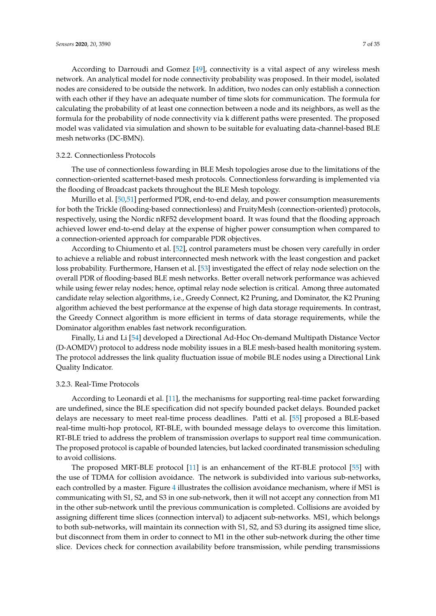According to Darroudi and Gomez [\[49\]](#page-31-11), connectivity is a vital aspect of any wireless mesh network. An analytical model for node connectivity probability was proposed. In their model, isolated nodes are considered to be outside the network. In addition, two nodes can only establish a connection with each other if they have an adequate number of time slots for communication. The formula for calculating the probability of at least one connection between a node and its neighbors, as well as the formula for the probability of node connectivity via k different paths were presented. The proposed model was validated via simulation and shown to be suitable for evaluating data-channel-based BLE mesh networks (DC-BMN).

### 3.2.2. Connectionless Protocols

The use of connectionless fowarding in BLE Mesh topologies arose due to the limitations of the connection-oriented scatternet-based mesh protocols. Connectionless forwarding is implemented via the flooding of Broadcast packets throughout the BLE Mesh topology.

Murillo et al. [\[50,](#page-31-12)[51\]](#page-31-13) performed PDR, end-to-end delay, and power consumption measurements for both the Trickle (flooding-based connectionless) and FruityMesh (connection-oriented) protocols, respectively, using the Nordic nRF52 development board. It was found that the flooding approach achieved lower end-to-end delay at the expense of higher power consumption when compared to a connection-oriented approach for comparable PDR objectives.

According to Chiumento et al. [\[52\]](#page-31-14), control parameters must be chosen very carefully in order to achieve a reliable and robust interconnected mesh network with the least congestion and packet loss probability. Furthermore, Hansen et al. [\[53\]](#page-31-15) investigated the effect of relay node selection on the overall PDR of flooding-based BLE mesh networks. Better overall network performance was achieved while using fewer relay nodes; hence, optimal relay node selection is critical. Among three automated candidate relay selection algorithms, i.e., Greedy Connect, K2 Pruning, and Dominator, the K2 Pruning algorithm achieved the best performance at the expense of high data storage requirements. In contrast, the Greedy Connect algorithm is more efficient in terms of data storage requirements, while the Dominator algorithm enables fast network reconfiguration.

Finally, Li and Li [\[54\]](#page-31-16) developed a Directional Ad-Hoc On-demand Multipath Distance Vector (D-AOMDV) protocol to address node mobility issues in a BLE mesh-based health monitoring system. The protocol addresses the link quality fluctuation issue of mobile BLE nodes using a Directional Link Quality Indicator.

### 3.2.3. Real-Time Protocols

According to Leonardi et al. [\[11\]](#page-29-5), the mechanisms for supporting real-time packet forwarding are undefined, since the BLE specification did not specify bounded packet delays. Bounded packet delays are necessary to meet real-time process deadlines. Patti et al. [\[55\]](#page-31-17) proposed a BLE-based real-time multi-hop protocol, RT-BLE, with bounded message delays to overcome this limitation. RT-BLE tried to address the problem of transmission overlaps to support real time communication. The proposed protocol is capable of bounded latencies, but lacked coordinated transmission scheduling to avoid collisions.

The proposed MRT-BLE protocol [\[11\]](#page-29-5) is an enhancement of the RT-BLE protocol [\[55\]](#page-31-17) with the use of TDMA for collision avoidance. The network is subdivided into various sub-networks, each controlled by a master. Figure [4](#page-7-0) illustrates the collision avoidance mechanism, where if MS1 is communicating with S1, S2, and S3 in one sub-network, then it will not accept any connection from M1 in the other sub-network until the previous communication is completed. Collisions are avoided by assigning different time slices (connection interval) to adjacent sub-networks. MS1, which belongs to both sub-networks, will maintain its connection with S1, S2, and S3 during its assigned time slice, but disconnect from them in order to connect to M1 in the other sub-network during the other time slice. Devices check for connection availability before transmission, while pending transmissions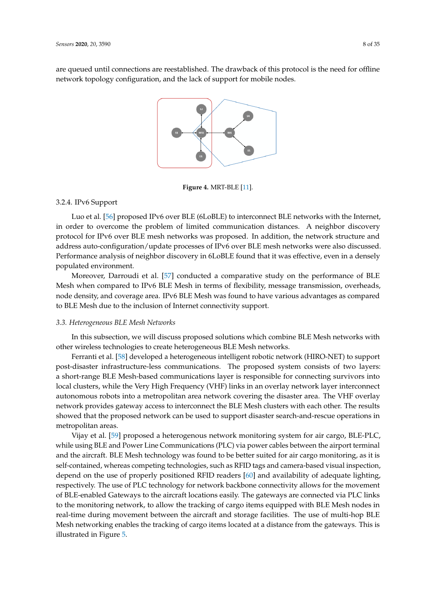<span id="page-7-0"></span>are queued until connections are reestablished. The drawback of this protocol is the need for offline network topology configuration, and the lack of support for mobile nodes.



**Figure 4.** MRT-BLE [\[11\]](#page-29-5).

#### 3.2.4. IPv6 Support

Luo et al. [\[56\]](#page-32-0) proposed IPv6 over BLE (6LoBLE) to interconnect BLE networks with the Internet, in order to overcome the problem of limited communication distances. A neighbor discovery protocol for IPv6 over BLE mesh networks was proposed. In addition, the network structure and address auto-configuration/update processes of IPv6 over BLE mesh networks were also discussed. Performance analysis of neighbor discovery in 6LoBLE found that it was effective, even in a densely populated environment.

Moreover, Darroudi et al. [\[57\]](#page-32-1) conducted a comparative study on the performance of BLE Mesh when compared to IPv6 BLE Mesh in terms of flexibility, message transmission, overheads, node density, and coverage area. IPv6 BLE Mesh was found to have various advantages as compared to BLE Mesh due to the inclusion of Internet connectivity support.

### *3.3. Heterogeneous BLE Mesh Networks*

In this subsection, we will discuss proposed solutions which combine BLE Mesh networks with other wireless technologies to create heterogeneous BLE Mesh networks.

Ferranti et al. [\[58\]](#page-32-2) developed a heterogeneous intelligent robotic network (HIRO-NET) to support post-disaster infrastructure-less communications. The proposed system consists of two layers: a short-range BLE Mesh-based communications layer is responsible for connecting survivors into local clusters, while the Very High Frequency (VHF) links in an overlay network layer interconnect autonomous robots into a metropolitan area network covering the disaster area. The VHF overlay network provides gateway access to interconnect the BLE Mesh clusters with each other. The results showed that the proposed network can be used to support disaster search-and-rescue operations in metropolitan areas.

Vijay et al. [\[59\]](#page-32-3) proposed a heterogenous network monitoring system for air cargo, BLE-PLC, while using BLE and Power Line Communications (PLC) via power cables between the airport terminal and the aircraft. BLE Mesh technology was found to be better suited for air cargo monitoring, as it is self-contained, whereas competing technologies, such as RFID tags and camera-based visual inspection, depend on the use of properly positioned RFID readers [\[60\]](#page-32-4) and availability of adequate lighting, respectively. The use of PLC technology for network backbone connectivity allows for the movement of BLE-enabled Gateways to the aircraft locations easily. The gateways are connected via PLC links to the monitoring network, to allow the tracking of cargo items equipped with BLE Mesh nodes in real-time during movement between the aircraft and storage facilities. The use of multi-hop BLE Mesh networking enables the tracking of cargo items located at a distance from the gateways. This is illustrated in Figure [5.](#page-8-0)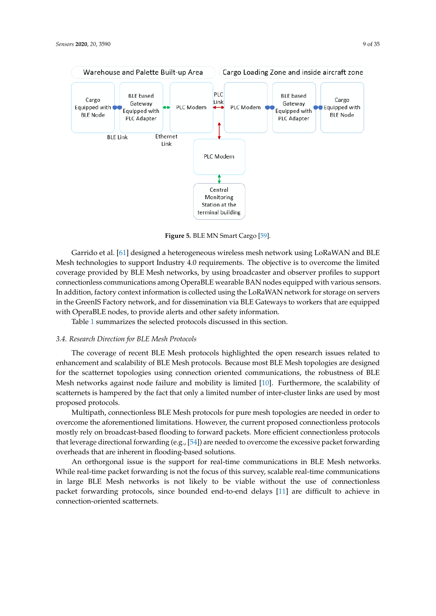<span id="page-8-0"></span>

**Figure 5.** BLE MN Smart Cargo [\[59\]](#page-32-3).

Garrido et al. [\[61\]](#page-32-5) designed a heterogeneous wireless mesh network using LoRaWAN and BLE Mesh technologies to support Industry 4.0 requirements. The objective is to overcome the limited coverage provided by BLE Mesh networks, by using broadcaster and observer profiles to support connectionless communications among OperaBLE wearable BAN nodes equipped with various sensors. In addition, factory context information is collected using the LoRaWAN network for storage on servers in the GreenIS Factory network, and for dissemination via BLE Gateways to workers that are equipped with OperaBLE nodes, to provide alerts and other safety information.

Table [1](#page-9-0) summarizes the selected protocols discussed in this section.

#### *3.4. Research Direction for BLE Mesh Protocols*

The coverage of recent BLE Mesh protocols highlighted the open research issues related to enhancement and scalability of BLE Mesh protocols. Because most BLE Mesh topologies are designed for the scatternet topologies using connection oriented communications, the robustness of BLE Mesh networks against node failure and mobility is limited [\[10\]](#page-29-4). Furthermore, the scalability of scatternets is hampered by the fact that only a limited number of inter-cluster links are used by most proposed protocols.

Multipath, connectionless BLE Mesh protocols for pure mesh topologies are needed in order to overcome the aforementioned limitations. However, the current proposed connectionless protocols mostly rely on broadcast-based flooding to forward packets. More efficient connectionless protocols that leverage directional forwarding (e.g., [\[54\]](#page-31-16)) are needed to overcome the excessive packet forwarding overheads that are inherent in flooding-based solutions.

An orthorgonal issue is the support for real-time communications in BLE Mesh networks. While real-time packet forwarding is not the focus of this survey, scalable real-time communications in large BLE Mesh networks is not likely to be viable without the use of connectionless packet forwarding protocols, since bounded end-to-end delays [\[11\]](#page-29-5) are difficult to achieve in connection-oriented scatternets.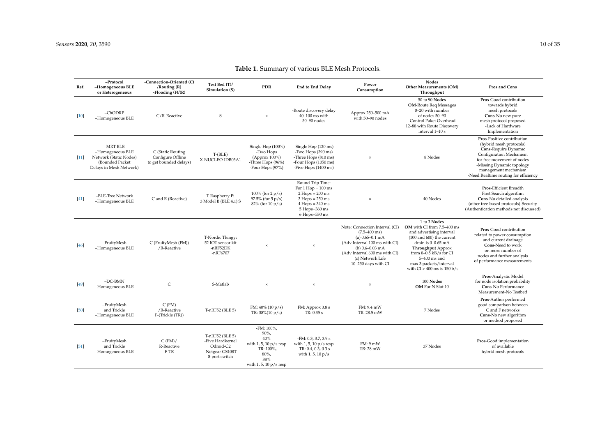<span id="page-9-0"></span>

| Ref.   | -Protocol<br>-Homogeneous BLE<br>or Heterogeneous                                                      | -Connection-Oriented (C)<br>/Routing (R)<br>-Flooding $(F)/(R)$  | Test Bed (T)/<br>Simulation (S)                                                      | <b>PDR</b>                                                                                                                     | <b>End to End Delay</b>                                                                                                                     | Power<br>Consumption                                                                                                                                                                                                  | <b>Nodes</b><br>Other Measurements (OM)<br>Throughput                                                                                                                                                                                                                      | Pros and Cons                                                                                                                                                                                                                        |
|--------|--------------------------------------------------------------------------------------------------------|------------------------------------------------------------------|--------------------------------------------------------------------------------------|--------------------------------------------------------------------------------------------------------------------------------|---------------------------------------------------------------------------------------------------------------------------------------------|-----------------------------------------------------------------------------------------------------------------------------------------------------------------------------------------------------------------------|----------------------------------------------------------------------------------------------------------------------------------------------------------------------------------------------------------------------------------------------------------------------------|--------------------------------------------------------------------------------------------------------------------------------------------------------------------------------------------------------------------------------------|
| $[10]$ | $-CbODRP$<br>-Homogeneous BLE                                                                          | C/R-Reactive                                                     | S                                                                                    | $\times$                                                                                                                       | -Route discovery delay<br>40-100 ms with<br>50-90 nodes                                                                                     | Approx 250-500 mA<br>with 50-90 nodes                                                                                                                                                                                 | 50 to 90 Nodes<br><b>OM-Route Req Messages</b><br>0-20 with number<br>of nodes 50-90<br>-Control Paket Overhead<br>12-88 with Route Discovery<br>interval 1-10 s                                                                                                           | Pros-Good contribution<br>towards hybrid<br>mesh protocols<br>Cons-No new pure<br>mesh protocol proposed<br>-Lack of Hardware<br>Implementation                                                                                      |
| $[11]$ | $-MRT-BLE$<br>-Homogeneous BLE<br>Network (Static Nodes)<br>(Bounded Packet<br>Delays in Mesh Network) | C (Static Routing<br>Configure Offline<br>to get bounded delays) | $T-(BLE)$<br>X-NUCLEO-IDB05A1                                                        | -Single Hop (100%)<br>-Two Hops<br>(Approx 100%)<br>-Three Hops (96%)<br>-Four Hops (97%)                                      | -Single Hop (120 ms)<br>-Two Hops (390 ms)<br>-Three Hops (810 ms)<br>-Four Hops (1050 ms)<br>-Five Hops (1400 ms)                          | $\times$                                                                                                                                                                                                              | 8 Nodes                                                                                                                                                                                                                                                                    | Pros-Positive contribution<br>(hybrid mesh protocols)<br>Cons-Require Dynamic<br>Configuration Mechanism<br>for free movement of nodes<br>-Missing Dynamic topology<br>management mechanism<br>-Need Realtime routing for efficiency |
| $[41]$ | -BLE-Tree Network<br>-Homogeneous BLE                                                                  | C and R (Reactive)                                               | T Raspberry Pi<br>3 Model B (BLE 4.1) S                                              | 100% (for $2 p/s$ )<br>97.5% (for 5 p/s)<br>$82\%$ (for 10 p/s)                                                                | Round-Trip Time:<br>For $1$ Hop = $100$ ms<br>$2 Hops = 200 ms$<br>$3 Hops = 250 ms$<br>$4 Hops = 340 ms$<br>5 Hops=360 ms<br>6 Hops=530 ms | $\times$                                                                                                                                                                                                              | 40 Nodes                                                                                                                                                                                                                                                                   | Pros-Efficient Breadth<br>First Search algorithm<br>Cons-No detailed analysis<br>(other tree-based protocols)-Security<br>(Authentication methods not discussed)                                                                     |
| $[46]$ | -FruityMesh<br>-Homogeneous BLE                                                                        | C (FruityMesh (FM))<br>/R-Reactive                               | T-Nordic Thingy:<br>52 IOT sensor kit<br>$-nRF52DK$<br>-nRF6707                      | $\times$                                                                                                                       | $\boldsymbol{\times}$                                                                                                                       | Note: Connection Interval (CI)<br>$(7.5 - 400 \text{ ms})$<br>(a) $0.65 - 0.1$ mA<br>(Adv Interval 100 ms with CI)<br>(b) $0.6 - 0.03$ mA<br>(Adv Interval 600 ms with CI)<br>(c) Network Life<br>10-250 days with CI | 1 to 3 Nodes<br>OM with CI from 7.5-400 ms<br>and advertising interval<br>$(100 \text{ and } 600)$ the current<br>drain is 0-0.65 mA<br><b>Throughput</b> Approx<br>from 8-0.5 kB/s for CI<br>$5-400$ ms and<br>max 3 packets/interval<br>-with $CI > 400$ ms is $150 b/s$ | Pros-Good contribution<br>related to power consumption<br>and current drainage<br>Cons-Need to work<br>on more number of<br>nodes and further analysis<br>of performance measurements                                                |
| [49]   | $-DC-BMN$<br>-Homogeneous BLE                                                                          | C                                                                | S-Matlab                                                                             | $\times$                                                                                                                       | $\times$                                                                                                                                    | $\times$                                                                                                                                                                                                              | 100 Nodes<br>OM For N Slot 10                                                                                                                                                                                                                                              | Pros-Analystic Model<br>for node isolation probability<br>Cons-No Performance<br>Measurement-No Testbed                                                                                                                              |
| $[50]$ | -FruityMesh<br>and Trickle<br>-Homogeneous BLE                                                         | $C$ (FM)<br>/R-Reactive<br>F-(Trickle (TR))                      | T-nRF52 (BLE 5)                                                                      | FM: $40\%$ (10 p/s)<br>TR: $38\%(10 \text{ p/s})$                                                                              | FM: Approx 3.8 s<br>TR: 0.35 s                                                                                                              | FM: 9.4 mW<br>TR: 28.5 mW                                                                                                                                                                                             | 7 Nodes                                                                                                                                                                                                                                                                    | Pros-Author performed<br>good comparison between<br>C and F networks<br>Cons-No new algorithm<br>or method proposed                                                                                                                  |
| $[51]$ | -FruityMesh<br>and Trickle<br>-Homogeneous BLE                                                         | $C$ (FM)/<br>R-Reactive<br>F-TR                                  | T-nRF52 (BLE 5)<br>-Five Hardkernel<br>Odroid-C2<br>-Netgear GS108T<br>8-port switch | -FM: 100%,<br>90%,<br>40%<br>with $1, 5, 10 \text{ p/s}$ resp<br>-TR: 100%,<br>80%,<br>38%<br>with $1, 5, 10 \text{ p/s}$ resp | -FM: 0.3, 3.7, 3.9 s<br>with 1, 5, 10 $p/s$ resp<br>$-TR: 0.4, 0.3, 0.3 s$<br>with 1, 5, $10 \frac{p}{s}$                                   | FM: 9mW<br>TR: 28 mW                                                                                                                                                                                                  | 37 Nodes                                                                                                                                                                                                                                                                   | Pros-Good implementation<br>of available<br>hybrid mesh protocols                                                                                                                                                                    |

# **Table 1.** Summary of various BLE Mesh Protocols.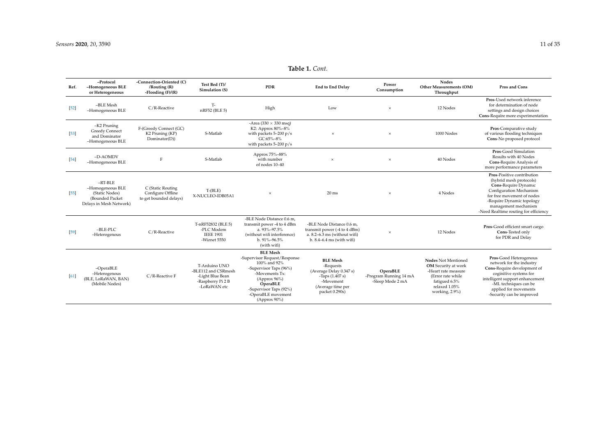**–Protocol**

**-Connection-Oriented (C)**

**Test Bed (T)/**

| ιy | Power<br>Consumption | <b>Nodes</b><br><b>Other Measurements (OM)</b><br>Throughput | <b>Pros and Cons</b>                                            |
|----|----------------------|--------------------------------------------------------------|-----------------------------------------------------------------|
|    |                      | $10M + 1.$                                                   | <b>Pros-Used network inference</b><br>for determination of node |

| Ref.   | -Homogeneous BLE<br>or Heterogeneous                                                          | /Routing (R)<br>-Flooding $(F)/(R)$                              | Test Bed (T)/<br>Simulation (S)                                                               | <b>PDR</b>                                                                                                                                                                                                  | <b>End to End Delay</b>                                                                                                             | Power<br>Consumption                                   | Other Measurements (OM)<br>Throughput                                                                                                                    | Pros and Cons                                                                                                                                                                                                                               |
|--------|-----------------------------------------------------------------------------------------------|------------------------------------------------------------------|-----------------------------------------------------------------------------------------------|-------------------------------------------------------------------------------------------------------------------------------------------------------------------------------------------------------------|-------------------------------------------------------------------------------------------------------------------------------------|--------------------------------------------------------|----------------------------------------------------------------------------------------------------------------------------------------------------------|---------------------------------------------------------------------------------------------------------------------------------------------------------------------------------------------------------------------------------------------|
| $[52]$ | -BLE Mesh<br>-Homogeneous BLE                                                                 | C/R-Reactive                                                     | T-<br>nRF52 (BLE 5)                                                                           | High                                                                                                                                                                                                        | Low                                                                                                                                 | $\times$                                               | 12 Nodes                                                                                                                                                 | Pros-Used network inference<br>for determination of node<br>settings and design choices<br>Cons-Require more experimentation                                                                                                                |
| $[53]$ | -K2 Pruning<br><b>Greedy Connect</b><br>and Dominator<br>-Homogeneous BLE                     | F-(Greedy Connect (GC)<br>K2 Pruning (KP)<br>Dominator(D))       | S-Matlab                                                                                      | -Area (330 $\times$ 330 msq)<br>K2: Approx 80%-8%<br>with packets $5-200$ p/s<br>GC:65%-8%<br>with packets $5-200$ p/s                                                                                      | $\times$                                                                                                                            | $\times$                                               | 1000 Nodes                                                                                                                                               | Pros-Comparative study<br>of various flooding techniques<br>Cons-No proposed protocol                                                                                                                                                       |
| $[54]$ | -D-AOMDV<br>-Homogeneous BLE                                                                  | F                                                                | S-Matlab                                                                                      | Approx 75%-88%<br>with number<br>of nodes 10-40                                                                                                                                                             | $\times$                                                                                                                            | $\times$                                               | 40 Nodes                                                                                                                                                 | Pros-Good Simulation<br>Results with 40 Nodes<br>Cons-Require Analysis of<br>more performance parameters                                                                                                                                    |
| $[55]$ | $-RT-BLE$<br>-Homogeneous BLE<br>(Static Nodes)<br>(Bounded Packet<br>Delays in Mesh Network) | C (Static Routing<br>Configure Offline<br>to get bounded delays) | $T-(BLE)$<br>X-NUCLEO-IDB05A1                                                                 | $\times$                                                                                                                                                                                                    | $20$ ms                                                                                                                             | $\times$                                               | 4 Nodes                                                                                                                                                  | Pros-Positive contribution<br>(hybrid mesh protocols)<br><b>Cons-Require Dynamic</b><br>Configuration Mechanism<br>for free movement of nodes<br>-Require Dynamic topology<br>management mechanism<br>-Need Realtime routing for efficiency |
| $[59]$ | $-BLE-PLC$<br>-Heterogenous                                                                   | C/R-Reactive                                                     | T-nRF52832 (BLE 5)<br>-PLC Modem<br><b>IEEE 1901</b><br>-Wiznet 5550                          | -BLE Node Distance 0.6 m,<br>transmit power -4 to 4 dBm<br>a. 93%-97.5%<br>(without wifi interference)<br>b. 91%-96.5%<br>(with wifi)                                                                       | -BLE Node Distance 0.6 m,<br>transmit power (-4 to 4 dBm)<br>a. $8.2 - 6.3$ ms (without wifi)<br>$b. 8.4 - 6.4$ ms (with wifi)      | ×                                                      | 12 Nodes                                                                                                                                                 | Pros-Good efficient smart cargo<br>Cons-Tested only<br>for PDR and Delay                                                                                                                                                                    |
| [61]   | $-OperaBLE$<br>-Heterogenous<br>(BLE, LoRaWAN, BAN)<br>(Mobile Nodes)                         | C/R-Reactive F                                                   | T-Arduino UNO<br>-BLE112 and CSRmesh<br>-Light Blue Bean<br>-Raspberry Pi 2 B<br>-LoRaWAN etc | <b>BLE</b> Mesh<br>-Supervisor Request/Response<br>100% and 92%<br>-Supervisor Taps (96%)<br>-Movements Tx:<br>(Approx $96\%$ )<br>OperaBLE<br>-Supervisor Taps (92%)<br>-OperaBLE movement<br>(Approx 90%) | <b>BLE</b> Mesh<br>-Requests<br>(Average Delay 0.347 s)<br>$-$ Taps $(1.407 s)$<br>-Movement<br>(Average time per<br>packet 0.290s) | OperaBLE<br>-Program Running 14 mA<br>-Sleep Mode 2 mA | <b>Nodes Not Mentioned</b><br><b>OM</b> Security at work<br>-Heart rate measure<br>(Error rate while<br>fatigued 6.5%<br>relaxed 1.05%<br>working, 2.9%) | Pros-Good Heterogenous<br>network for the industry<br>Cons-Require development of<br>coginitive systems for<br>intelligent support enhancement<br>-ML techniques can be<br>applied for movements<br>-Security can be improved               |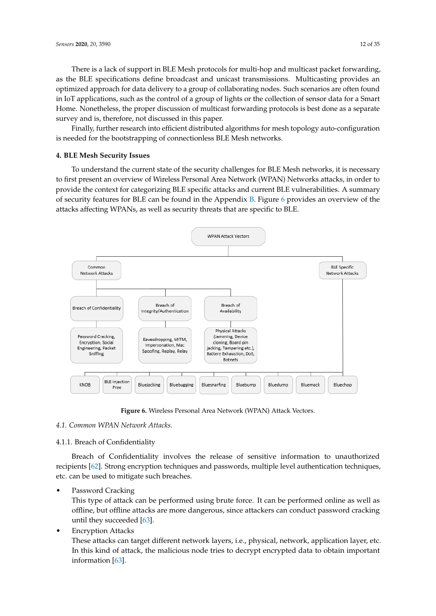There is a lack of support in BLE Mesh protocols for multi-hop and multicast packet forwarding, as the BLE specifications define broadcast and unicast transmissions. Multicasting provides an optimized approach for data delivery to a group of collaborating nodes. Such scenarios are often found in IoT applications, such as the control of a group of lights or the collection of sensor data for a Smart Home. Nonetheless, the proper discussion of multicast forwarding protocols is best done as a separate survey and is, therefore, not discussed in this paper.

Finally, further research into efficient distributed algorithms for mesh topology auto-configuration is needed for the bootstrapping of connectionless BLE Mesh networks.

# <span id="page-11-0"></span>**4. BLE Mesh Security Issues**

To understand the current state of the security challenges for BLE Mesh networks, it is necessary to first present an overview of Wireless Personal Area Network (WPAN) Networks attacks, in order to provide the context for categorizing BLE specific attacks and current BLE vulnerabilities. A summary of security features for BLE can be found in the Appendix [B.](#page-28-0) Figure [6](#page-11-1) provides an overview of the attacks affecting WPANs, as well as security threats that are specific to BLE.

<span id="page-11-1"></span>

**Figure 6.** Wireless Personal Area Network (WPAN) Attack Vectors.

*4.1. Common WPAN Network Attacks.*

4.1.1. Breach of Confidentiality

Breach of Confidentiality involves the release of sensitive information to unauthorized recipients [\[62\]](#page-32-8). Strong encryption techniques and passwords, multiple level authentication techniques, etc. can be used to mitigate such breaches.

Password Cracking

This type of attack can be performed using brute force. It can be performed online as well as offline, but offline attacks are more dangerous, since attackers can conduct password cracking until they succeeded [\[63\]](#page-32-9).

• Encryption Attacks

These attacks can target different network layers, i.e., physical, network, application layer, etc. In this kind of attack, the malicious node tries to decrypt encrypted data to obtain important information [\[63\]](#page-32-9).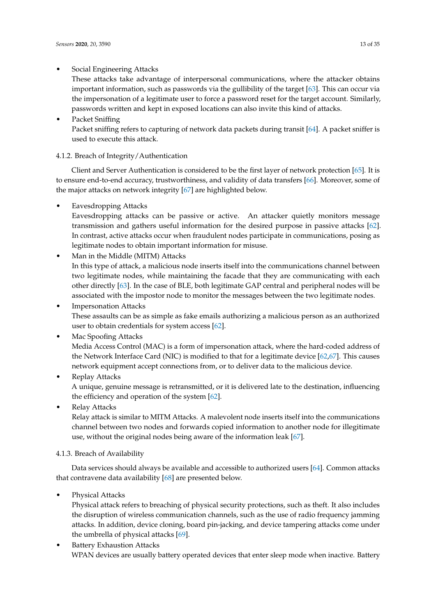# • Social Engineering Attacks

These attacks take advantage of interpersonal communications, where the attacker obtains important information, such as passwords via the gullibility of the target [\[63\]](#page-32-9). This can occur via the impersonation of a legitimate user to force a password reset for the target account. Similarly, passwords written and kept in exposed locations can also invite this kind of attacks.

Packet Sniffing Packet sniffing refers to capturing of network data packets during transit [\[64\]](#page-32-10). A packet sniffer is used to execute this attack.

# 4.1.2. Breach of Integrity/Authentication

Client and Server Authentication is considered to be the first layer of network protection [\[65\]](#page-32-11). It is to ensure end-to-end accuracy, trustworthiness, and validity of data transfers [\[66\]](#page-32-12). Moreover, some of the major attacks on network integrity [\[67\]](#page-32-13) are highlighted below.

• Eavesdropping Attacks

Eavesdropping attacks can be passive or active. An attacker quietly monitors message transmission and gathers useful information for the desired purpose in passive attacks [\[62\]](#page-32-8). In contrast, active attacks occur when fraudulent nodes participate in communications, posing as legitimate nodes to obtain important information for misuse.

• Man in the Middle (MITM) Attacks

In this type of attack, a malicious node inserts itself into the communications channel between two legitimate nodes, while maintaining the facade that they are communicating with each other directly [\[63\]](#page-32-9). In the case of BLE, both legitimate GAP central and peripheral nodes will be associated with the impostor node to monitor the messages between the two legitimate nodes.

**Impersonation Attacks** These assaults can be as simple as fake emails authorizing a malicious person as an authorized user to obtain credentials for system access [\[62\]](#page-32-8).

# • Mac Spoofing Attacks Media Access Control (MAC) is a form of impersonation attack, where the hard-coded address of the Network Interface Card (NIC) is modified to that for a legitimate device [\[62,](#page-32-8)[67\]](#page-32-13). This causes network equipment accept connections from, or to deliver data to the malicious device.

# • Replay Attacks A unique, genuine message is retransmitted, or it is delivered late to the destination, influencing the efficiency and operation of the system [\[62\]](#page-32-8).

• Relay Attacks

Relay attack is similar to MITM Attacks. A malevolent node inserts itself into the communications channel between two nodes and forwards copied information to another node for illegitimate use, without the original nodes being aware of the information leak [\[67\]](#page-32-13).

# 4.1.3. Breach of Availability

Data services should always be available and accessible to authorized users [\[64\]](#page-32-10). Common attacks that contravene data availability [\[68\]](#page-32-14) are presented below.

Physical Attacks

Physical attack refers to breaching of physical security protections, such as theft. It also includes the disruption of wireless communication channels, such as the use of radio frequency jamming attacks. In addition, device cloning, board pin-jacking, and device tampering attacks come under the umbrella of physical attacks [\[69\]](#page-32-15).

**Battery Exhaustion Attacks** WPAN devices are usually battery operated devices that enter sleep mode when inactive. Battery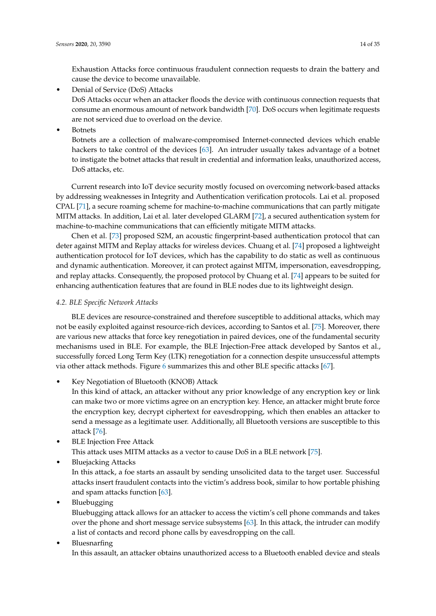Exhaustion Attacks force continuous fraudulent connection requests to drain the battery and cause the device to become unavailable.

• Denial of Service (DoS) Attacks

DoS Attacks occur when an attacker floods the device with continuous connection requests that consume an enormous amount of network bandwidth [\[70\]](#page-32-16). DoS occurs when legitimate requests are not serviced due to overload on the device.

**Botnets** 

Botnets are a collection of malware-compromised Internet-connected devices which enable hackers to take control of the devices [\[63\]](#page-32-9). An intruder usually takes advantage of a botnet to instigate the botnet attacks that result in credential and information leaks, unauthorized access, DoS attacks, etc.

Current research into IoT device security mostly focused on overcoming network-based attacks by addressing weaknesses in Integrity and Authentication verification protocols. Lai et al. proposed CPAL [\[71\]](#page-32-17), a secure roaming scheme for machine-to-machine communications that can partly mitigate MITM attacks. In addition, Lai et al. later developed GLARM [\[72\]](#page-32-18), a secured authentication system for machine-to-machine communications that can efficiently mitigate MITM attacks.

Chen et al. [\[73\]](#page-32-19) proposed S2M, an acoustic fingerprint-based authentication protocol that can deter against MITM and Replay attacks for wireless devices. Chuang et al. [\[74\]](#page-32-20) proposed a lightweight authentication protocol for IoT devices, which has the capability to do static as well as continuous and dynamic authentication. Moreover, it can protect against MITM, impersonation, eavesdropping, and replay attacks. Consequently, the proposed protocol by Chuang et al. [\[74\]](#page-32-20) appears to be suited for enhancing authentication features that are found in BLE nodes due to its lightweight design.

# *4.2. BLE Specific Network Attacks*

BLE devices are resource-constrained and therefore susceptible to additional attacks, which may not be easily exploited against resource-rich devices, according to Santos et al. [\[75\]](#page-32-21). Moreover, there are various new attacks that force key renegotiation in paired devices, one of the fundamental security mechanisms used in BLE. For example, the BLE Injection-Free attack developed by Santos et al., successfully forced Long Term Key (LTK) renegotiation for a connection despite unsuccessful attempts via other attack methods. Figure [6](#page-11-1) summarizes this and other BLE specific attacks [\[67\]](#page-32-13).

• Key Negotiation of Bluetooth (KNOB) Attack

In this kind of attack, an attacker without any prior knowledge of any encryption key or link can make two or more victims agree on an encryption key. Hence, an attacker might brute force the encryption key, decrypt ciphertext for eavesdropping, which then enables an attacker to send a message as a legitimate user. Additionally, all Bluetooth versions are susceptible to this attack [\[76\]](#page-32-22).

- **BLE Injection Free Attack** This attack uses MITM attacks as a vector to cause DoS in a BLE network [\[75\]](#page-32-21).
- Bluejacking Attacks

In this attack, a foe starts an assault by sending unsolicited data to the target user. Successful attacks insert fraudulent contacts into the victim's address book, similar to how portable phishing and spam attacks function [\[63\]](#page-32-9).

• Bluebugging

Bluebugging attack allows for an attacker to access the victim's cell phone commands and takes over the phone and short message service subsystems [\[63\]](#page-32-9). In this attack, the intruder can modify a list of contacts and record phone calls by eavesdropping on the call.

# • Bluesnarfing In this assault, an attacker obtains unauthorized access to a Bluetooth enabled device and steals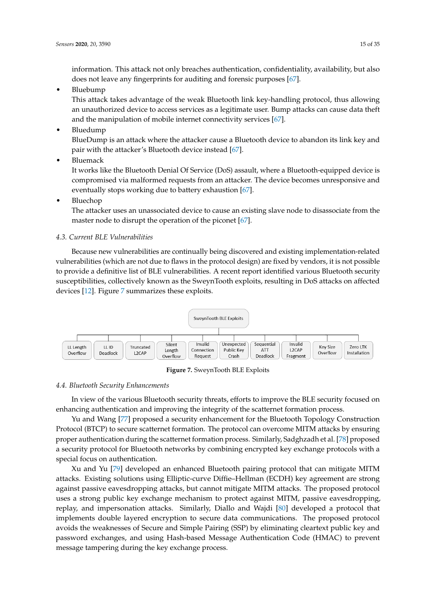information. This attack not only breaches authentication, confidentiality, availability, but also does not leave any fingerprints for auditing and forensic purposes [\[67\]](#page-32-13).

• Bluebump

This attack takes advantage of the weak Bluetooth link key-handling protocol, thus allowing an unauthorized device to access services as a legitimate user. Bump attacks can cause data theft and the manipulation of mobile internet connectivity services [\[67\]](#page-32-13).

• Bluedump

BlueDump is an attack where the attacker cause a Bluetooth device to abandon its link key and pair with the attacker's Bluetooth device instead [\[67\]](#page-32-13).

• Bluemack

It works like the Bluetooth Denial Of Service (DoS) assault, where a Bluetooth-equipped device is compromised via malformed requests from an attacker. The device becomes unresponsive and eventually stops working due to battery exhaustion [\[67\]](#page-32-13).

• Bluechop

The attacker uses an unassociated device to cause an existing slave node to disassociate from the master node to disrupt the operation of the piconet [\[67\]](#page-32-13).

### *4.3. Current BLE Vulnerabilities*

Because new vulnerabilities are continually being discovered and existing implementation-related vulnerabilities (which are not due to flaws in the protocol design) are fixed by vendors, it is not possible to provide a definitive list of BLE vulnerabilities. A recent report identified various Bluetooth security susceptibilities, collectively known as the SweynTooth exploits, resulting in DoS attacks on affected devices [\[12\]](#page-29-6). Figure [7](#page-14-0) summarizes these exploits.

<span id="page-14-0"></span>

**Figure 7.** SweynTooth BLE Exploits

### *4.4. Bluetooth Security Enhancements*

In view of the various Bluetooth security threats, efforts to improve the BLE security focused on enhancing authentication and improving the integrity of the scatternet formation process.

Yu and Wang [\[77\]](#page-32-23) proposed a security enhancement for the Bluetooth Topology Construction Protocol (BTCP) to secure scatternet formation. The protocol can overcome MITM attacks by ensuring proper authentication during the scatternet formation process. Similarly, Sadghzadh et al. [\[78\]](#page-33-0) proposed a security protocol for Bluetooth networks by combining encrypted key exchange protocols with a special focus on authentication.

Xu and Yu [\[79\]](#page-33-1) developed an enhanced Bluetooth pairing protocol that can mitigate MITM attacks. Existing solutions using Elliptic-curve Diffie–Hellman (ECDH) key agreement are strong against passive eavesdropping attacks, but cannot mitigate MITM attacks. The proposed protocol uses a strong public key exchange mechanism to protect against MITM, passive eavesdropping, replay, and impersonation attacks. Similarly, Diallo and Wajdi [\[80\]](#page-33-2) developed a protocol that implements double layered encryption to secure data communications. The proposed protocol avoids the weaknesses of Secure and Simple Pairing (SSP) by eliminating cleartext public key and password exchanges, and using Hash-based Message Authentication Code (HMAC) to prevent message tampering during the key exchange process.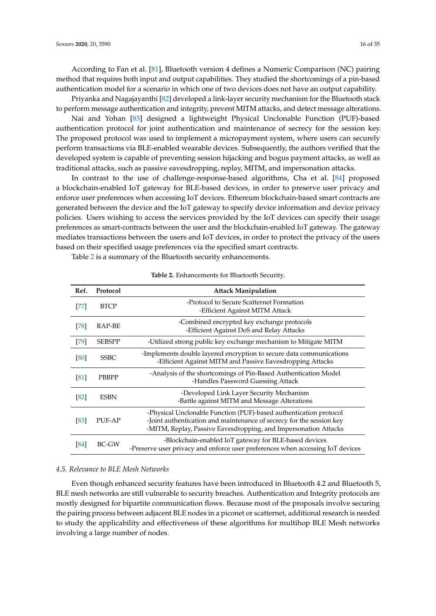**Sensors 2020**, 20, 3590 16 of 35

According to Fan et al. [\[81\]](#page-33-3), Bluetooth version 4 defines a Numeric Comparison (NC) pairing method that requires both input and output capabilities. They studied the shortcomings of a pin-based authentication model for a scenario in which one of two devices does not have an output capability.

Priyanka and Nagajayanthi [\[82\]](#page-33-4) developed a link-layer security mechanism for the Bluetooth stack to perform message authentication and integrity, prevent MITM attacks, and detect message alterations.

Nai and Yohan [\[83\]](#page-33-5) designed a lightweight Physical Unclonable Function (PUF)-based authentication protocol for joint authentication and maintenance of secrecy for the session key. The proposed protocol was used to implement a micropayment system, where users can securely perform transactions via BLE-enabled wearable devices. Subsequently, the authors verified that the developed system is capable of preventing session hijacking and bogus payment attacks, as well as traditional attacks, such as passive eavesdropping, replay, MITM, and impersonation attacks.

In contrast to the use of challenge-response-based algorithms, Cha et al. [\[84\]](#page-33-6) proposed a blockchain-enabled IoT gateway for BLE-based devices, in order to preserve user privacy and enforce user preferences when accessing IoT devices. Ethereum blockchain-based smart contracts are generated between the device and the IoT gateway to specify device information and device privacy policies. Users wishing to access the services provided by the IoT devices can specify their usage preferences as smart-contracts between the user and the blockchain-enabled IoT gateway. The gateway mediates transactions between the users and IoT devices, in order to protect the privacy of the users based on their specified usage preferences via the specified smart contracts.

<span id="page-15-0"></span>Table [2](#page-15-0) is a summary of the Bluetooth security enhancements.

| Ref. | Protocol      | <b>Attack Manipulation</b>                                                                                                                                                                                   |
|------|---------------|--------------------------------------------------------------------------------------------------------------------------------------------------------------------------------------------------------------|
| [77] | <b>BTCP</b>   | -Protocol to Secure Scatternet Formation<br>-Efficient Against MITM Attack                                                                                                                                   |
| [78] | RAP-BE        | -Combined encrypted key exchange protocols<br>-Efficient Against DoS and Relay Attacks                                                                                                                       |
| [79] | <b>SEBSPP</b> | -Utilized strong public key exchange mechanism to Mitigate MITM                                                                                                                                              |
| [80] | <b>SSBC</b>   | -Implements double layered encryption to secure data communications<br>-Efficient Against MITM and Passive Eavesdropping Attacks                                                                             |
| [81] | PBBPP         | -Analysis of the shortcomings of Pin-Based Authentication Model<br>-Handles Password Guessing Attack                                                                                                         |
| [82] | <b>ESBN</b>   | -Developed Link Layer Security Mechanism<br>-Battle against MITM and Message Alterations                                                                                                                     |
| [83] | PUF-AP        | -Physical Unclonable Function (PUF)-based authentication protocol<br>-Joint authentication and maintenance of secrecy for the session key<br>-MITM, Replay, Passive Eavesdropping, and Impersonation Attacks |
| [84] | BC-GW         | -Blockchain-enabled IoT gateway for BLE-based devices<br>-Preserve user privacy and enforce user preferences when accessing IoT devices                                                                      |

#### **Table 2.** Enhancements for Bluetooth Security.

#### *4.5. Relevance to BLE Mesh Networks*

Even though enhanced security features have been introduced in Bluetooth 4.2 and Bluetooth 5, BLE mesh networks are still vulnerable to security breaches. Authentication and Integrity protocols are mostly designed for bipartite communication flows. Because most of the proposals involve securing the pairing process between adjacent BLE nodes in a piconet or scatternet, additional research is needed to study the applicability and effectiveness of these algorithms for multihop BLE Mesh networks involving a large number of nodes.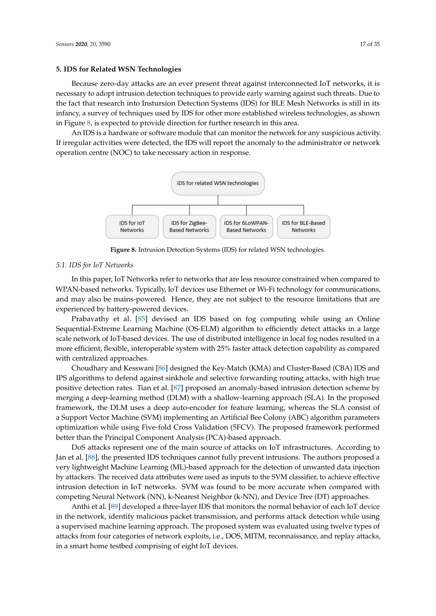<span id="page-16-0"></span>Because zero-day attacks are an ever present threat against interconnected IoT networks, it is necessary to adopt intrusion detection techniques to provide early warning against such threats. Due to the fact that research into Instursion Detection Systems (IDS) for BLE Mesh Networks is still in its infancy, a survey of techniques used by IDS for other more established wireless technologies, as shown in Figure [8,](#page-16-1) is expected to provide direction for further research in this area.

<span id="page-16-1"></span>An IDS is a hardware or software module that can monitor the network for any suspicious activity. If irregular activities were detected, the IDS will report the anomaly to the administrator or network operation centre (NOC) to take necessary action in response.



**Figure 8.** Intrusion Detection Systems (IDS) for related WSN technologies.

#### *5.1. IDS for IoT Networks*

In this paper, IoT Networks refer to networks that are less resource constrained when compared to WPAN-based networks. Typically, IoT devices use Ethernet or Wi-Fi technology for communications, and may also be mains-powered. Hence, they are not subject to the resource limitations that are experienced by battery-powered devices.

Prabavathy et al. [\[85\]](#page-33-7) devised an IDS based on fog computing while using an Online Sequential-Extreme Learning Machine (OS-ELM) algorithm to efficiently detect attacks in a large scale network of IoT-based devices. The use of distributed intelligence in local fog nodes resulted in a more efficient, flexible, interoperable system with 25% faster attack detection capability as compared with centralized approaches.

Choudhary and Kesswani [\[86\]](#page-33-8) designed the Key-Match (KMA) and Cluster-Based (CBA) IDS and IPS algorithms to defend against sinkhole and selective forwarding routing attacks, with high true positive detection rates. Tian et al. [\[87\]](#page-33-9) proposed an anomaly-based intrusion detection scheme by merging a deep-learning method (DLM) with a shallow-learning approach (SLA). In the proposed framework, the DLM uses a deep auto-encoder for feature learning, whereas the SLA consist of a Support Vector Machine (SVM) implementing an Artificial Bee Colony (ABC) algorithm parameters optimization while using Five-fold Cross Validation (5FCV). The proposed framework performed better than the Principal Component Analysis (PCA)-based approach.

DoS attacks represent one of the main source of attacks on IoT infrastructures. According to Jan et al. [\[88\]](#page-33-10), the presented IDS techniques cannot fully prevent intrusions. The authors proposed a very lightweight Machine Learning (ML)-based approach for the detection of unwanted data injection by attackers. The received data attributes were used as inputs to the SVM classifier, to achieve effective intrusion detection in IoT networks. SVM was found to be more accurate when compared with competing Neural Network (NN), k-Nearest Neighbor (k-NN), and Device Tree (DT) approaches.

Anthi et al. [\[89\]](#page-33-11) developed a three-layer IDS that monitors the normal behavior of each IoT device in the network, identify malicious packet transmission, and performs attack detection while using a supervised machine learning approach. The proposed system was evaluated using twelve types of attacks from four categories of network exploits, i.e., DOS, MITM, reconnaissance, and replay attacks, in a smart home testbed comprising of eight IoT devices.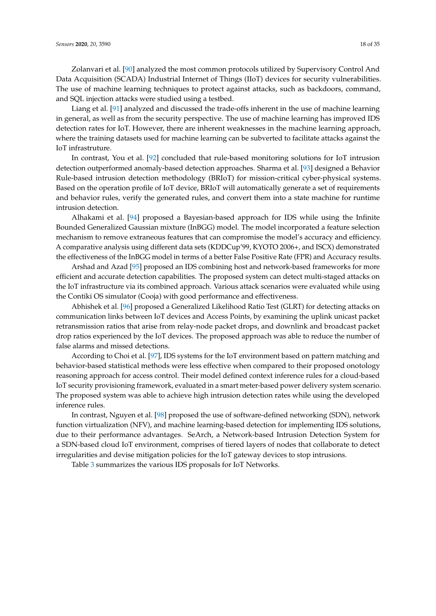Zolanvari et al. [\[90\]](#page-33-12) analyzed the most common protocols utilized by Supervisory Control And Data Acquisition (SCADA) Industrial Internet of Things (IIoT) devices for security vulnerabilities. The use of machine learning techniques to protect against attacks, such as backdoors, command, and SQL injection attacks were studied using a testbed.

Liang et al. [\[91\]](#page-33-13) analyzed and discussed the trade-offs inherent in the use of machine learning in general, as well as from the security perspective. The use of machine learning has improved IDS detection rates for IoT. However, there are inherent weaknesses in the machine learning approach, where the training datasets used for machine learning can be subverted to facilitate attacks against the IoT infrastruture.

In contrast, You et al. [\[92\]](#page-33-14) concluded that rule-based monitoring solutions for IoT intrusion detection outperformed anomaly-based detection approaches. Sharma et al. [\[93\]](#page-33-15) designed a Behavior Rule-based intrusion detection methodology (BRIoT) for mission-critical cyber-physical systems. Based on the operation profile of IoT device, BRIoT will automatically generate a set of requirements and behavior rules, verify the generated rules, and convert them into a state machine for runtime intrusion detection.

Alhakami et al. [\[94\]](#page-33-16) proposed a Bayesian-based approach for IDS while using the Infinite Bounded Generalized Gaussian mixture (InBGG) model. The model incorporated a feature selection mechanism to remove extraneous features that can compromise the model's accuracy and efficiency. A comparative analysis using different data sets (KDDCup'99, KYOTO 2006+, and ISCX) demonstrated the effectiveness of the InBGG model in terms of a better False Positive Rate (FPR) and Accuracy results.

Arshad and Azad [\[95\]](#page-33-17) proposed an IDS combining host and network-based frameworks for more efficient and accurate detection capabilities. The proposed system can detect multi-staged attacks on the IoT infrastructure via its combined approach. Various attack scenarios were evaluated while using the Contiki OS simulator (Cooja) with good performance and effectiveness.

Abhishek et al. [\[96\]](#page-33-18) proposed a Generalized Likelihood Ratio Test (GLRT) for detecting attacks on communication links between IoT devices and Access Points, by examining the uplink unicast packet retransmission ratios that arise from relay-node packet drops, and downlink and broadcast packet drop ratios experienced by the IoT devices. The proposed approach was able to reduce the number of false alarms and missed detections.

According to Choi et al. [\[97\]](#page-33-19), IDS systems for the IoT environment based on pattern matching and behavior-based statistical methods were less effective when compared to their proposed onotology reasoning approach for access control. Their model defined context inference rules for a cloud-based IoT security provisioning framework, evaluated in a smart meter-based power delivery system scenario. The proposed system was able to achieve high intrusion detection rates while using the developed inference rules.

In contrast, Nguyen et al. [\[98\]](#page-33-20) proposed the use of software-defined networking (SDN), network function virtualization (NFV), and machine learning-based detection for implementing IDS solutions, due to their performance advantages. SeArch, a Network-based Intrusion Detection System for a SDN-based cloud IoT environment, comprises of tiered layers of nodes that collaborate to detect irregularities and devise mitigation policies for the IoT gateway devices to stop intrusions.

Table [3](#page-18-0) summarizes the various IDS proposals for IoT Networks.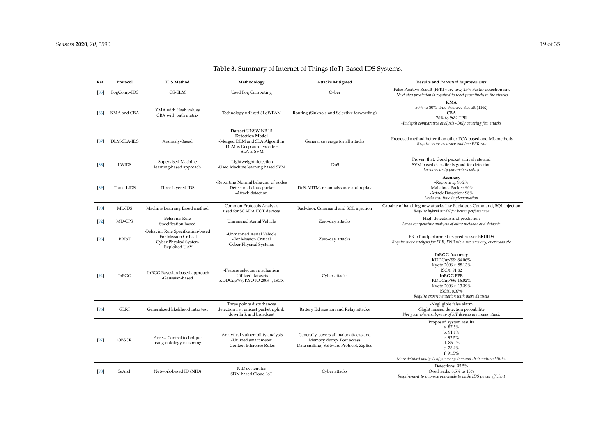<span id="page-18-0"></span>

| Ref.   | Protocol     | <b>IDS</b> Method                                                                                      | Methodology                                                                                                                | <b>Attacks Mitigated</b>                                                                                        | Results and Potential Improvements                                                                                                                                                                            |
|--------|--------------|--------------------------------------------------------------------------------------------------------|----------------------------------------------------------------------------------------------------------------------------|-----------------------------------------------------------------------------------------------------------------|---------------------------------------------------------------------------------------------------------------------------------------------------------------------------------------------------------------|
| [85]   | FogComp-IDS  | OS-ELM                                                                                                 | <b>Used Fog Computing</b>                                                                                                  | Cyber                                                                                                           | -False Positive Result (FPR) very low, 25% Faster detection rate<br>-Next step prediction is required to react proactively to the attacks                                                                     |
| [86]   | KMA and CBA  | KMA with Hash values<br>CBA with path matrix                                                           | Technology utilized 6LoWPAN                                                                                                | Routing (Sinkhole and Selective forwarding)                                                                     | <b>KMA</b><br>50% to 80% True Positive Result (TPR)<br><b>CBA</b><br>76% to 96% TPR<br>-In depth comparative analysis -Only covering few attacks                                                              |
| 871    | DLM-SLA-IDS  | Anomaly-Based                                                                                          | Dataset UNSW-NB 15<br><b>Detection Model</b><br>-Merged DLM and SLA Algorithm<br>-DLM is Deep auto-encoders<br>-SLA is SVM | General coverage for all attacks                                                                                | -Proposed method better than other PCA-based and ML methods<br>-Require more accuracy and low FPR rate                                                                                                        |
| [88]   | <b>LWIDS</b> | Supervised Machine<br>learning-based approach                                                          | -Lightweight detection<br>-Used Machine learning based SVM                                                                 | DoS                                                                                                             | Proven that: Good packet arrival rate and<br>SVM based classifier is good for detection<br>Lacks security parameters policy                                                                                   |
| [89]   | Three-LIDS   | Three layered IDS                                                                                      | -Reporting Normal behavior of nodes<br>-Detect malicious packet<br>-Attack detection                                       | DoS, MITM, reconnaissance and replay                                                                            | Accuracy<br>-Reporting: 96.2%<br>-Malicious Packet: 90%<br>-Attack Detection: 98%<br>Lacks real time implementation                                                                                           |
| [90]   | ML-IDS       | Machine Learning Based method                                                                          | Common Protocols Analysis<br>used for SCADA IIOT devices                                                                   | Backdoor, Command and SQL injection                                                                             | Capable of handling new attacks like Backdoor, Command, SQL injection<br>Require hybrid model for better performance                                                                                          |
| $[92]$ | MD-CPS       | <b>Behavior Rule</b><br>Specification-based                                                            | <b>Unmanned Aerial Vehicle</b>                                                                                             | Zero-day attacks                                                                                                | High detection and prediction<br>Lacks comparative analysis of other methods and datasets                                                                                                                     |
| $[93]$ | BRIoT        | -Behavior Rule Specification-based<br>-For Mission Critical<br>Cyber Physical System<br>-Exploited UAV | -Unmanned Aerial Vehicle<br>-For Mission Critical<br><b>Cyber Physical Systems</b>                                         | Zero-day attacks                                                                                                | BRIoT outperformed its predecessor BRUIDS<br>Require more analysis for FPR, FNR viz-a-viz memory, overheads etc                                                                                               |
| [94]   | InBGG        | -InBGG Bayesian-based approach<br>-Gaussian-based                                                      | -Feature selection mechanism<br>-Utilized datasets<br>KDDCup'99, KYOTO 2006+, ISCX                                         | Cyber attacks                                                                                                   | <b>InBGG Accuracy</b><br>KDDCup'99: 84.06%<br>Kyoto 2006+: 88.13%<br>ISCX: 91.82<br><b>InBGG FPR</b><br>KDDCup'99: 16.02%<br>Kyoto 2006+: 13.39%<br>ISCX: 8.37%<br>Require experimentation with more datasets |
| [96]   | <b>GLRT</b>  | Generalized likelihood ratio test                                                                      | Three points disturbances<br>detection i.e., unicast packet uplink,<br>downlink and broadcast                              | Battery Exhaustion and Relay attacks                                                                            | -Negligible false alarm<br>-Slight missed detection probability<br>Not good where subgroup of IoT devices are under attack                                                                                    |
| $[97]$ | <b>OBSCR</b> | Access Control technique<br>using ontology reasoning                                                   | -Analytical vulnerability analysis<br>-Utilized smart meter<br>-Context Inference Rules                                    | Generally, covers all major attacks and<br>Memory dump, Port access<br>Data sniffing, Software Protocol, ZigBee | Proposed system results<br>a. 87.5%<br>b. 91.1%<br>c. 92.5%<br>d. 86.1%<br>e. 78.4%<br>f. 91.5%<br>More detailed analysis of power system and their vulnerabilities                                           |
| [98]   | SeArch       | Network-based ID (NID)                                                                                 | NID system for<br>SDN-based Cloud IoT                                                                                      | Cyber attacks                                                                                                   | Detections: 95.5%<br>Overheads: 8.5% to 15%<br>Requirement to improve overheads to make IDS power efficient                                                                                                   |

# **Table 3.** Summary of Internet of Things (IoT)-Based IDS Systems.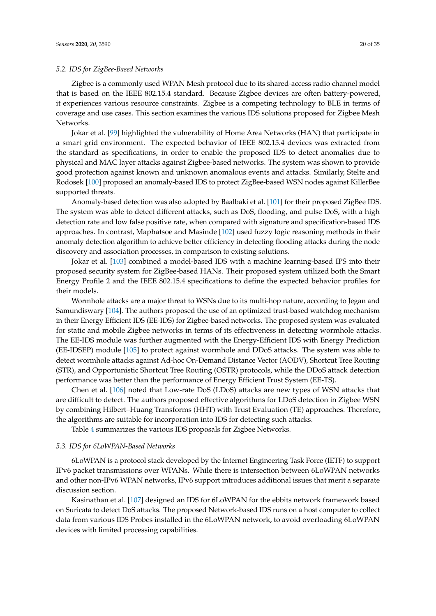### *5.2. IDS for ZigBee-Based Networks*

Zigbee is a commonly used WPAN Mesh protocol due to its shared-access radio channel model that is based on the IEEE 802.15.4 standard. Because Zigbee devices are often battery-powered, it experiences various resource constraints. Zigbee is a competing technology to BLE in terms of coverage and use cases. This section examines the various IDS solutions proposed for Zigbee Mesh Networks.

Jokar et al. [\[99\]](#page-33-32) highlighted the vulnerability of Home Area Networks (HAN) that participate in a smart grid environment. The expected behavior of IEEE 802.15.4 devices was extracted from the standard as specifications, in order to enable the proposed IDS to detect anomalies due to physical and MAC layer attacks against Zigbee-based networks. The system was shown to provide good protection against known and unknown anomalous events and attacks. Similarly, Stelte and Rodosek [\[100\]](#page-33-33) proposed an anomaly-based IDS to protect ZigBee-based WSN nodes against KillerBee supported threats.

Anomaly-based detection was also adopted by Baalbaki et al. [\[101\]](#page-34-0) for their proposed ZigBee IDS. The system was able to detect different attacks, such as DoS, flooding, and pulse DoS, with a high detection rate and low false positive rate, when compared with signature and specification-based IDS approaches. In contrast, Maphatsoe and Masinde [\[102\]](#page-34-1) used fuzzy logic reasoning methods in their anomaly detection algorithm to achieve better efficiency in detecting flooding attacks during the node discovery and association processes, in comparison to existing solutions.

Jokar et al. [\[103\]](#page-34-2) combined a model-based IDS with a machine learning-based IPS into their proposed security system for ZigBee-based HANs. Their proposed system utilized both the Smart Energy Profile 2 and the IEEE 802.15.4 specifications to define the expected behavior profiles for their models.

Wormhole attacks are a major threat to WSNs due to its multi-hop nature, according to Jegan and Samundiswary [\[104\]](#page-34-3). The authors proposed the use of an optimized trust-based watchdog mechanism in their Energy Efficient IDS (EE-IDS) for Zigbee-based networks. The proposed system was evaluated for static and mobile Zigbee networks in terms of its effectiveness in detecting wormhole attacks. The EE-IDS module was further augmented with the Energy-Efficient IDS with Energy Prediction (EE-IDSEP) module [\[105\]](#page-34-4) to protect against wormhole and DDoS attacks. The system was able to detect wormhole attacks against Ad-hoc On-Demand Distance Vector (AODV), Shortcut Tree Routing (STR), and Opportunistic Shortcut Tree Routing (OSTR) protocols, while the DDoS attack detection performance was better than the performance of Energy Efficient Trust System (EE-TS).

Chen et al. [\[106\]](#page-34-5) noted that Low-rate DoS (LDoS) attacks are new types of WSN attacks that are difficult to detect. The authors proposed effective algorithms for LDoS detection in Zigbee WSN by combining Hilbert–Huang Transforms (HHT) with Trust Evaluation (TE) approaches. Therefore, the algorithms are suitable for incorporation into IDS for detecting such attacks.

Table [4](#page-20-0) summarizes the various IDS proposals for Zigbee Networks.

#### *5.3. IDS for 6LoWPAN-Based Networks*

6LoWPAN is a protocol stack developed by the Internet Engineering Task Force (IETF) to support IPv6 packet transmissions over WPANs. While there is intersection between 6LoWPAN networks and other non-IPv6 WPAN networks, IPv6 support introduces additional issues that merit a separate discussion section.

Kasinathan et al. [\[107\]](#page-34-6) designed an IDS for 6LoWPAN for the ebbits network framework based on Suricata to detect DoS attacks. The proposed Network-based IDS runs on a host computer to collect data from various IDS Probes installed in the 6LoWPAN network, to avoid overloading 6LoWPAN devices with limited processing capabilities.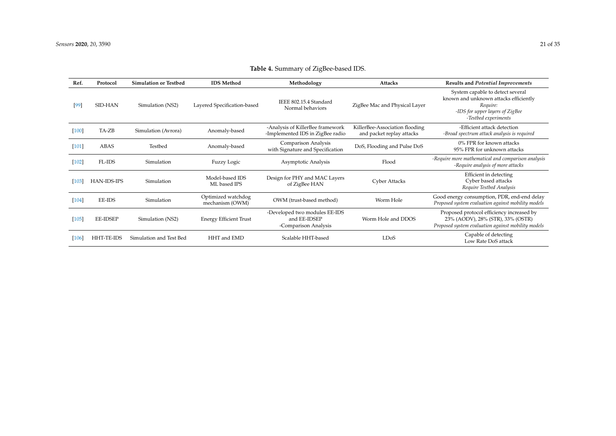<span id="page-20-0"></span>

| Ref.    | Protocol        | <b>Simulation or Testbed</b> | <b>IDS</b> Method                     | Methodology                                                           | <b>Attacks</b>                                              | Results and Potential Improvements                                                                                                               |
|---------|-----------------|------------------------------|---------------------------------------|-----------------------------------------------------------------------|-------------------------------------------------------------|--------------------------------------------------------------------------------------------------------------------------------------------------|
| $[99]$  | SID-HAN         | Simulation (NS2)             | Layered Specification-based           | IEEE 802.15.4 Standard<br>Normal behaviors                            | ZigBee Mac and Physical Layer                               | System capable to detect several<br>known and unknown attacks efficiently<br>Require:<br>-IDS for upper layers of ZigBee<br>-Testbed experiments |
| $[100]$ | TA-ZB           | Simulation (Avrora)          | Anomaly-based                         | -Analysis of KillerBee framework<br>-Implemented IDS in ZigBee radio  | KillerBee-Association flooding<br>and packet replay attacks | -Efficient attack detection<br>-Broad spectrum attack analysis is required                                                                       |
| $[101]$ | ABAS            | Testbed                      | Anomaly-based                         | Comparison Analysis<br>with Signature and Specification               | DoS, Flooding and Pulse DoS                                 | 0% FPR for known attacks<br>95% FPR for unknown attacks                                                                                          |
| $[102]$ | FL-IDS          | Simulation                   | Fuzzy Logic                           | Asymptotic Analysis                                                   | Flood                                                       | -Require more mathematical and comparison analysis<br>-Require analysis of more attacks                                                          |
| [103]   | HAN-IDS-IPS     | Simulation                   | Model-based IDS<br>ML based IPS       | Design for PHY and MAC Layers<br>of ZigBee HAN                        | Cyber Attacks                                               | Efficient in detecting<br>Cyber based attacks<br>Require Testbed Analysis                                                                        |
| $[104]$ | EE-IDS          | Simulation                   | Optimized watchdog<br>mechanism (OWM) | OWM (trust-based method)                                              | Worm Hole                                                   | Good energy consumption, PDR, end-end delay<br>Proposed system evaluation against mobility models                                                |
| $[105]$ | <b>EE-IDSEP</b> | Simulation (NS2)             | <b>Energy Efficient Trust</b>         | -Developed two modules EE-IDS<br>and EE-IDSEP<br>-Comparison Analysis | Worm Hole and DDOS                                          | Proposed protocol efficiency increased by<br>23% (AODV), 28% (STR), 33% (OSTR)<br>Proposed system evaluation against mobility models             |
| [106]   | HHT-TE-IDS      | Simulation and Test Bed      | HHT and EMD                           | Scalable HHT-based                                                    | <b>LDoS</b>                                                 | Capable of detecting<br>Low Rate DoS attack                                                                                                      |

# **Table 4.** Summary of ZigBee-based IDS.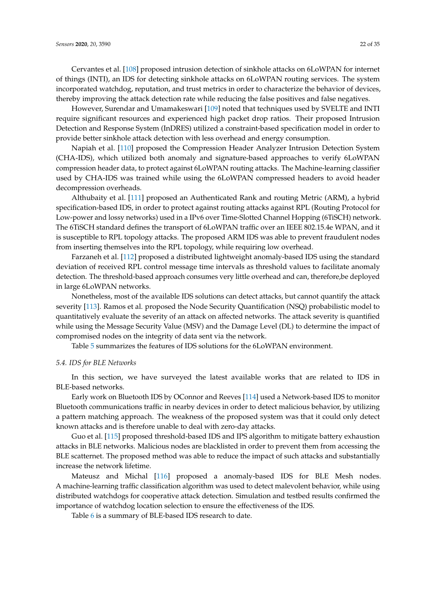Cervantes et al. [\[108\]](#page-34-13) proposed intrusion detection of sinkhole attacks on 6LoWPAN for internet of things (INTI), an IDS for detecting sinkhole attacks on 6LoWPAN routing services. The system incorporated watchdog, reputation, and trust metrics in order to characterize the behavior of devices, thereby improving the attack detection rate while reducing the false positives and false negatives.

However, Surendar and Umamakeswari [\[109\]](#page-34-14) noted that techniques used by SVELTE and INTI require significant resources and experienced high packet drop ratios. Their proposed Intrusion Detection and Response System (InDRES) utilized a constraint-based specification model in order to provide better sinkhole attack detection with less overhead and energy consumption.

Napiah et al. [\[110\]](#page-34-15) proposed the Compression Header Analyzer Intrusion Detection System (CHA-IDS), which utilized both anomaly and signature-based approaches to verify 6LoWPAN compression header data, to protect against 6LoWPAN routing attacks. The Machine-learning classifier used by CHA-IDS was trained while using the 6LoWPAN compressed headers to avoid header decompression overheads.

Althubaity et al. [\[111\]](#page-34-16) proposed an Authenticated Rank and routing Metric (ARM), a hybrid specification-based IDS, in order to protect against routing attacks against RPL (Routing Protocol for Low-power and lossy networks) used in a IPv6 over Time-Slotted Channel Hopping (6TiSCH) network. The 6TiSCH standard defines the transport of 6LoWPAN traffic over an IEEE 802.15.4e WPAN, and it is susceptible to RPL topology attacks. The proposed ARM IDS was able to prevent fraudulent nodes from inserting themselves into the RPL topology, while requiring low overhead.

Farzaneh et al. [\[112\]](#page-34-17) proposed a distributed lightweight anomaly-based IDS using the standard deviation of received RPL control message time intervals as threshold values to facilitate anomaly detection. The threshold-based approach consumes very little overhead and can, therefore,be deployed in large 6LoWPAN networks.

Nonetheless, most of the available IDS solutions can detect attacks, but cannot quantify the attack severity [\[113\]](#page-34-18). Ramos et al. proposed the Node Security Quantification (NSQ) probabilistic model to quantitatively evaluate the severity of an attack on affected networks. The attack severity is quantified while using the Message Security Value (MSV) and the Damage Level (DL) to determine the impact of compromised nodes on the integrity of data sent via the network.

Table [5](#page-22-0) summarizes the features of IDS solutions for the 6LoWPAN environment.

# *5.4. IDS for BLE Networks*

In this section, we have surveyed the latest available works that are related to IDS in BLE-based networks.

Early work on Bluetooth IDS by OConnor and Reeves [\[114\]](#page-34-19) used a Network-based IDS to monitor Bluetooth communications traffic in nearby devices in order to detect malicious behavior, by utilizing a pattern matching approach. The weakness of the proposed system was that it could only detect known attacks and is therefore unable to deal with zero-day attacks.

Guo et al. [\[115\]](#page-34-20) proposed threshold-based IDS and IPS algorithm to mitigate battery exhaustion attacks in BLE networks. Malicious nodes are blacklisted in order to prevent them from accessing the BLE scatternet. The proposed method was able to reduce the impact of such attacks and substantially increase the network lifetime.

Mateusz and Michal [\[116\]](#page-34-21) proposed a anomaly-based IDS for BLE Mesh nodes. A machine-learning traffic classification algorithm was used to detect malevolent behavior, while using distributed watchdogs for cooperative attack detection. Simulation and testbed results confirmed the importance of watchdog location selection to ensure the effectiveness of the IDS.

Table [6](#page-23-0) is a summary of BLE-based IDS research to date.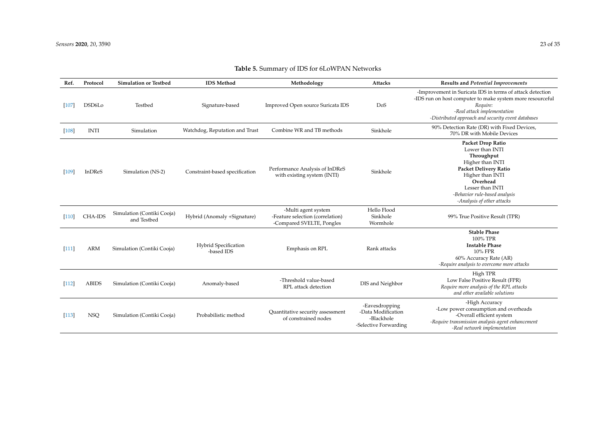<span id="page-22-0"></span>

| Ref.    | Protocol      | <b>Simulation or Testbed</b>              | <b>IDS</b> Method                  | Methodology                                                                          | Attacks                                                                     | <b>Results and Potential Improvements</b>                                                                                                                                                                                        |
|---------|---------------|-------------------------------------------|------------------------------------|--------------------------------------------------------------------------------------|-----------------------------------------------------------------------------|----------------------------------------------------------------------------------------------------------------------------------------------------------------------------------------------------------------------------------|
| 107     | DSD6Lo        | Testbed                                   | Signature-based                    | Improved Open source Suricata IDS                                                    | DoS                                                                         | -Improvement in Suricata IDS in terms of attack detection<br>-IDS run on host computer to make system more resourceful<br>Require:<br>-Real attack implementation<br>-Distributed approach and security event databases          |
| $[108]$ | <b>INTI</b>   | Simulation                                | Watchdog, Reputation and Trust     | Combine WR and TB methods                                                            | Sinkhole                                                                    | 90% Detection Rate (DR) with Fixed Devices,<br>70% DR with Mobile Devices                                                                                                                                                        |
| [109]   | <b>InDReS</b> | Simulation (NS-2)                         | Constraint-based specification     | Performance Analysis of InDReS<br>with existing system (INTI)                        | Sinkhole                                                                    | <b>Packet Drop Ratio</b><br>Lower than INTI<br>Throughput<br>Higher than INTI<br><b>Packet Delivery Ratio</b><br>Higher than INTI<br>Overhead<br>Lesser than INTI<br>-Behavior rule-based analysis<br>-Analysis of other attacks |
| $[110]$ | CHA-IDS       | Simulation (Contiki Cooja)<br>and Testbed | Hybrid (Anomaly +Signature)        | -Multi agent system<br>-Feature selection (correlation)<br>-Compared SVELTE, Pongles | Hello Flood<br>Sinkhole<br>Wormhole                                         | 99% True Positive Result (TPR)                                                                                                                                                                                                   |
| $[111]$ | <b>ARM</b>    | Simulation (Contiki Cooja)                | Hybrid Specification<br>-based IDS | Emphasis on RPL                                                                      | Rank attacks                                                                | <b>Stable Phase</b><br>100% TPR<br><b>Instable Phase</b><br>10% FPR<br>60% Accuracy Rate (AR)<br>-Require analysis to overcome more attacks                                                                                      |
| $[112]$ | <b>ABIDS</b>  | Simulation (Contiki Cooja)                | Anomaly-based                      | -Threshold value-based<br>RPL attack detection                                       | DIS and Neighbor                                                            | High TPR<br>Low False Positive Result (FPR)<br>Require more analysis of the RPL attacks<br>and other available solutions                                                                                                         |
| [113]   | <b>NSQ</b>    | Simulation (Contiki Cooja)                | Probabilistic method               | Quantitative security assessment<br>of constrained nodes                             | -Eavesdropping<br>-Data Modification<br>-Blackhole<br>-Selective Forwarding | -High Accuracy<br>-Low power consumption and overheads<br>-Overall efficient system<br>-Require transmission analysis agent enhancement<br>-Real network implementation                                                          |

# **Table 5.** Summary of IDS for 6LoWPAN Networks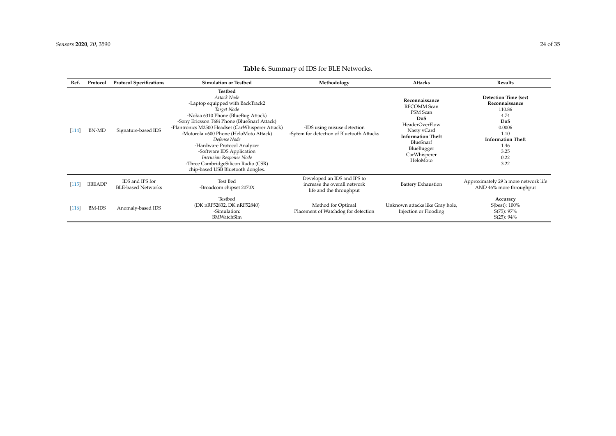<span id="page-23-0"></span>

| Ref.                | Protocol      | <b>Protocol Specifications</b>               | <b>Simulation or Testbed</b>                                                                                                                                                                                                                                                                                                                                                                                                                     | Methodology                                                                            | Attacks                                                                                                                                                                     | Results                                                                                                                                       |
|---------------------|---------------|----------------------------------------------|--------------------------------------------------------------------------------------------------------------------------------------------------------------------------------------------------------------------------------------------------------------------------------------------------------------------------------------------------------------------------------------------------------------------------------------------------|----------------------------------------------------------------------------------------|-----------------------------------------------------------------------------------------------------------------------------------------------------------------------------|-----------------------------------------------------------------------------------------------------------------------------------------------|
| [114]               | <b>BN-MD</b>  | Signature-based IDS                          | Testbed<br>Attack Node<br>-Laptop equipped with BackTrack2<br>Target Node<br>-Nokia 6310 Phone (BlueBug Attack)<br>-Sony Ericsson T68i Phone (BlueSnarf Attack)<br>-Plantronics M2500 Headset (CarWhisperer Attack)<br>-Motorola v600 Phone (HeloMoto Attack)<br>Defense Node<br>-Hardware Protocol Analyzer<br>-Software IDS Application<br>Intrusion Response Node<br>-Three CambridgeSilicon Radio (CSR)<br>chip-based USB Bluetooth dongles. | -IDS using misuse detection<br>-Sytem for detection of Bluetooth Attacks               | Reconnaissance<br>RFCOMM Scan<br>PSM Scan<br>DoS<br><b>HeaderOverFlow</b><br>Nasty vCard<br><b>Information Theft</b><br>BlueSnarf<br>BlueBugger<br>CarWhisperer<br>HeloMoto | Detection Time (sec)<br>Reconnaissance<br>110.86<br>4.74<br>DoS<br>0.0006<br>1.10<br><b>Information Theft</b><br>1.46<br>3.25<br>0.22<br>3.22 |
| [115]               | <b>BBEADP</b> | IDS and IPS for<br><b>BLE-based Networks</b> | <b>Test Bed</b><br>-Broadcom chipset 2070X                                                                                                                                                                                                                                                                                                                                                                                                       | Developed an IDS and IPS to<br>increase the overall network<br>life and the throughput | <b>Battery Exhaustion</b>                                                                                                                                                   | Approximately 29 h more network life<br>AND 46% more throughput                                                                               |
| $\lceil 116 \rceil$ | <b>BM-IDS</b> | Anomaly-based IDS                            | Testbed<br>(DK nRF52832, DK nRF52840)<br>-Simulation:<br><b>BMWatchSim</b>                                                                                                                                                                                                                                                                                                                                                                       | Method for Optimal<br>Placement of Watchdog for detection                              | Unknown attacks like Gray hole,<br>Injection or Flooding                                                                                                                    | Accuracy<br>S(best): 100%<br>$S(75): 97\%$<br>$S(25): 94\%$                                                                                   |

# **Table 6.** Summary of IDS for BLE Networks.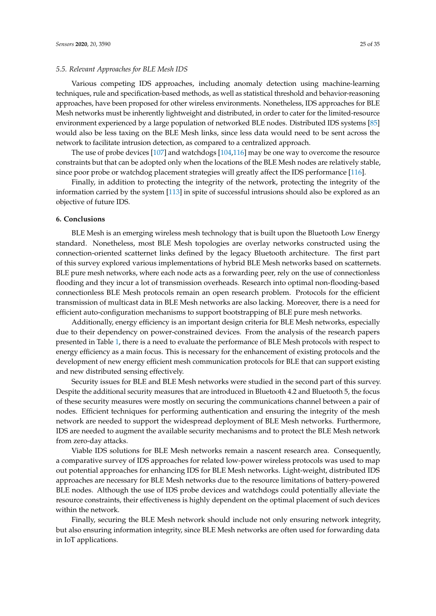#### *5.5. Relevant Approaches for BLE Mesh IDS*

Various competing IDS approaches, including anomaly detection using machine-learning techniques, rule and specification-based methods, as well as statistical threshold and behavior-reasoning approaches, have been proposed for other wireless environments. Nonetheless, IDS approaches for BLE Mesh networks must be inherently lightweight and distributed, in order to cater for the limited-resource environment experienced by a large population of networked BLE nodes. Distributed IDS systems [\[85\]](#page-33-7) would also be less taxing on the BLE Mesh links, since less data would need to be sent across the network to facilitate intrusion detection, as compared to a centralized approach.

The use of probe devices [\[107\]](#page-34-6) and watchdogs [\[104,](#page-34-3)[116\]](#page-34-21) may be one way to overcome the resource constraints but that can be adopted only when the locations of the BLE Mesh nodes are relatively stable, since poor probe or watchdog placement strategies will greatly affect the IDS performance [\[116\]](#page-34-21).

Finally, in addition to protecting the integrity of the network, protecting the integrity of the information carried by the system [\[113\]](#page-34-18) in spite of successful intrusions should also be explored as an objective of future IDS.

### <span id="page-24-0"></span>**6. Conclusions**

BLE Mesh is an emerging wireless mesh technology that is built upon the Bluetooth Low Energy standard. Nonetheless, most BLE Mesh topologies are overlay networks constructed using the connection-oriented scatternet links defined by the legacy Bluetooth architecture. The first part of this survey explored various implementations of hybrid BLE Mesh networks based on scatternets. BLE pure mesh networks, where each node acts as a forwarding peer, rely on the use of connectionless flooding and they incur a lot of transmission overheads. Research into optimal non-flooding-based connectionless BLE Mesh protocols remain an open research problem. Protocols for the efficient transmission of multicast data in BLE Mesh networks are also lacking. Moreover, there is a need for efficient auto-configuration mechanisms to support bootstrapping of BLE pure mesh networks.

Additionally, energy efficiency is an important design criteria for BLE Mesh networks, especially due to their dependency on power-constrained devices. From the analysis of the research papers presented in Table [1,](#page-9-0) there is a need to evaluate the performance of BLE Mesh protocols with respect to energy efficiency as a main focus. This is necessary for the enhancement of existing protocols and the development of new energy efficient mesh communication protocols for BLE that can support existing and new distributed sensing effectively.

Security issues for BLE and BLE Mesh networks were studied in the second part of this survey. Despite the additional security measures that are introduced in Bluetooth 4.2 and Bluetooth 5, the focus of these security measures were mostly on securing the communications channel between a pair of nodes. Efficient techniques for performing authentication and ensuring the integrity of the mesh network are needed to support the widespread deployment of BLE Mesh networks. Furthermore, IDS are needed to augment the available security mechanisms and to protect the BLE Mesh network from zero-day attacks.

Viable IDS solutions for BLE Mesh networks remain a nascent research area. Consequently, a comparative survey of IDS approaches for related low-power wireless protocols was used to map out potential approaches for enhancing IDS for BLE Mesh networks. Light-weight, distributed IDS approaches are necessary for BLE Mesh networks due to the resource limitations of battery-powered BLE nodes. Although the use of IDS probe devices and watchdogs could potentially alleviate the resource constraints, their effectiveness is highly dependent on the optimal placement of such devices within the network.

Finally, securing the BLE Mesh network should include not only ensuring network integrity, but also ensuring information integrity, since BLE Mesh networks are often used for forwarding data in IoT applications.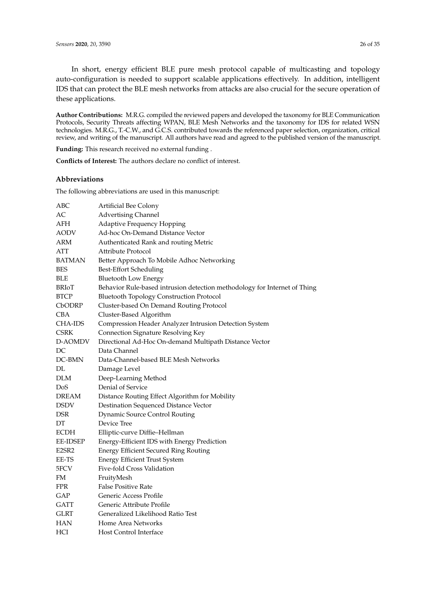In short, energy efficient BLE pure mesh protocol capable of multicasting and topology auto-configuration is needed to support scalable applications effectively. In addition, intelligent IDS that can protect the BLE mesh networks from attacks are also crucial for the secure operation of these applications.

**Author Contributions:** M.R.G. compiled the reviewed papers and developed the taxonomy for BLE Communication Protocols, Security Threats affecting WPAN, BLE Mesh Networks and the taxonomy for IDS for related WSN technologies. M.R.G., T.-C.W., and G.C.S. contributed towards the referenced paper selection, organization, critical review, and writing of the manuscript. All authors have read and agreed to the published version of the manuscript.

**Funding:** This research received no external funding .

**Conflicts of Interest:** The authors declare no conflict of interest.

### **Abbreviations**

The following abbreviations are used in this manuscript:

| АВС           | Artificial Bee Colony                                                     |
|---------------|---------------------------------------------------------------------------|
| AC            | <b>Advertising Channel</b>                                                |
| AFH           | <b>Adaptive Frequency Hopping</b>                                         |
| AODV          | Ad-hoc On-Demand Distance Vector                                          |
| ARM           | Authenticated Rank and routing Metric                                     |
| ATT           | Attribute Protocol                                                        |
| <b>BATMAN</b> | Better Approach To Mobile Adhoc Networking                                |
| <b>BES</b>    | Best-Effort Scheduling                                                    |
| <b>BLE</b>    | <b>Bluetooth Low Energy</b>                                               |
| <b>BRIoT</b>  | Behavior Rule-based intrusion detection methodology for Internet of Thing |
| <b>BTCP</b>   | <b>Bluetooth Topology Construction Protocol</b>                           |
| CbODRP        | Cluster-based On Demand Routing Protocol                                  |
| CBA           | Cluster-Based Algorithm                                                   |
| CHA-IDS       | Compression Header Analyzer Intrusion Detection System                    |
| <b>CSRK</b>   | Connection Signature Resolving Key                                        |
| D-AOMDV       | Directional Ad-Hoc On-demand Multipath Distance Vector                    |
| DC            | Data Channel                                                              |
| DC-BMN        | Data-Channel-based BLE Mesh Networks                                      |
| DL            | Damage Level                                                              |
| DLM           | Deep-Learning Method                                                      |
| DoS           | Denial of Service                                                         |
| DREAM         | Distance Routing Effect Algorithm for Mobility                            |
| <b>DSDV</b>   | Destination Sequenced Distance Vector                                     |
| DSR           | <b>Dynamic Source Control Routing</b>                                     |
| DΤ            | Device Tree                                                               |
| <b>ECDH</b>   | Elliptic-curve Diffie-Hellman                                             |
| EE-IDSEP      | Energy-Efficient IDS with Energy Prediction                               |
| E2SR2         | <b>Energy Efficient Secured Ring Routing</b>                              |
| EE-TS         | <b>Energy Efficient Trust System</b>                                      |
| 5FCV          | Five-fold Cross Validation                                                |
| FM            | FruityMesh                                                                |
| <b>FPR</b>    | <b>False Positive Rate</b>                                                |
| GAP           | Generic Access Profile                                                    |
| <b>GATT</b>   | Generic Attribute Profile                                                 |
| <b>GLRT</b>   | Generalized Likelihood Ratio Test                                         |
| HAN           | Home Area Networks                                                        |
| HCI           | Host Control Interface                                                    |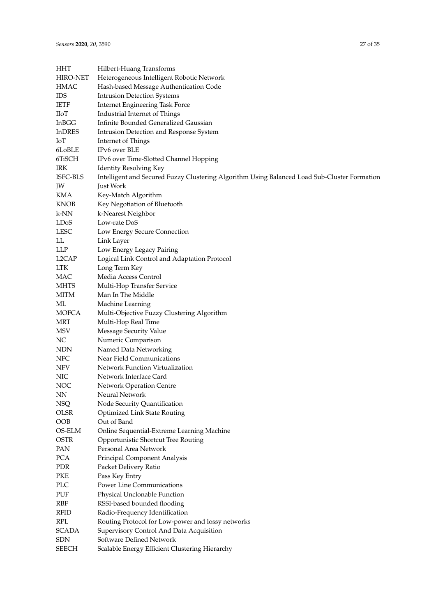| HHT                       | Hilbert-Huang Transforms                                                                     |
|---------------------------|----------------------------------------------------------------------------------------------|
| <b>HIRO-NET</b>           | Heterogeneous Intelligent Robotic Network                                                    |
| <b>HMAC</b>               | Hash-based Message Authentication Code                                                       |
| <b>IDS</b>                | <b>Intrusion Detection Systems</b>                                                           |
| <b>IETF</b>               | Internet Engineering Task Force                                                              |
| <b>IIoT</b>               | Industrial Internet of Things                                                                |
| InBGG                     | Infinite Bounded Generalized Gaussian                                                        |
| <b>InDRES</b>             | Intrusion Detection and Response System                                                      |
| IoT                       | Internet of Things                                                                           |
| 6LoBLE                    | IPv6 over BLE                                                                                |
| 6TiSCH                    | IPv6 over Time-Slotted Channel Hopping                                                       |
| IRK                       | <b>Identity Resolving Key</b>                                                                |
| ISFC-BLS                  | Intelligent and Secured Fuzzy Clustering Algorithm Using Balanced Load Sub-Cluster Formation |
| JW                        | Just Work                                                                                    |
| KMA                       | Key-Match Algorithm                                                                          |
| <b>KNOB</b>               | Key Negotiation of Bluetooth                                                                 |
| k-NN                      | k-Nearest Neighbor                                                                           |
| LDoS                      | Low-rate DoS                                                                                 |
| <b>LESC</b>               | Low Energy Secure Connection                                                                 |
| LL                        | Link Layer                                                                                   |
| LLP                       | Low Energy Legacy Pairing                                                                    |
| L2CAP                     | Logical Link Control and Adaptation Protocol                                                 |
| LTK                       | Long Term Key                                                                                |
| MAC                       | Media Access Control                                                                         |
| <b>MHTS</b>               | Multi-Hop Transfer Service                                                                   |
| <b>MITM</b>               | Man In The Middle                                                                            |
| ML                        | Machine Learning                                                                             |
| <b>MOFCA</b>              | Multi-Objective Fuzzy Clustering Algorithm                                                   |
| MRT                       | Multi-Hop Real Time                                                                          |
| MSV                       | Message Security Value                                                                       |
| NC                        | Numeric Comparison                                                                           |
| <b>NDN</b>                | Named Data Networking                                                                        |
| <b>NFC</b>                | Near Field Communications                                                                    |
| <b>NFV</b>                | Network Function Virtualization                                                              |
| <b>NIC</b>                | Network Interface Card                                                                       |
| NOC                       | Network Operation Centre                                                                     |
| ${\rm NN}$                | Neural Network                                                                               |
| NSQ                       | Node Security Quantification                                                                 |
| <b>OLSR</b>               | <b>Optimized Link State Routing</b>                                                          |
| OOB                       | Out of Band                                                                                  |
| OS-ELM                    | Online Sequential-Extreme Learning Machine                                                   |
| OSTR                      | Opportunistic Shortcut Tree Routing                                                          |
| PAN                       | Personal Area Network                                                                        |
| PCA                       | Principal Component Analysis                                                                 |
| PDR                       |                                                                                              |
| PKE                       | Packet Delivery Ratio                                                                        |
| PLC                       | Pass Key Entry<br>Power Line Communications                                                  |
|                           |                                                                                              |
| PUF<br><b>RBF</b>         | Physical Unclonable Function                                                                 |
|                           | RSSI-based bounded flooding                                                                  |
| <b>RFID</b><br><b>RPL</b> | Radio-Frequency Identification                                                               |
|                           | Routing Protocol for Low-power and lossy networks                                            |
| <b>SCADA</b>              | Supervisory Control And Data Acquisition                                                     |
| <b>SDN</b>                | Software Defined Network                                                                     |
| <b>SEECH</b>              | Scalable Energy Efficient Clustering Hierarchy                                               |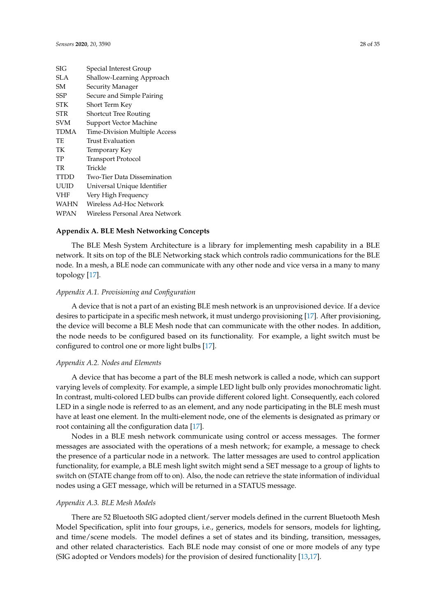| $\overline{\rm SIG}$ | Special Interest Group         |
|----------------------|--------------------------------|
| SLA                  | Shallow-Learning Approach      |
| SM                   | Security Manager               |
| SSP                  | Secure and Simple Pairing      |
| <b>STK</b>           | Short Term Key                 |
| STR                  | <b>Shortcut Tree Routing</b>   |
| <b>SVM</b>           | Support Vector Machine         |
| <b>TDMA</b>          | Time-Division Multiple Access  |
| TE                   | Trust Evaluation               |
| TК                   | Temporary Key                  |
| TP                   | <b>Transport Protocol</b>      |
| TR                   | Trickle                        |
| <b>TTDD</b>          | Two-Tier Data Dissemination    |
| UUID                 | Universal Unique Identifier    |
| <b>VHF</b>           | Very High Frequency            |
| <b>WAHN</b>          | Wireless Ad-Hoc Network        |
| <b>WPAN</b>          | Wireless Personal Area Network |

#### <span id="page-27-0"></span>**Appendix A. BLE Mesh Networking Concepts**

The BLE Mesh System Architecture is a library for implementing mesh capability in a BLE network. It sits on top of the BLE Networking stack which controls radio communications for the BLE node. In a mesh, a BLE node can communicate with any other node and vice versa in a many to many topology [\[17\]](#page-30-2).

# *Appendix A.1. Provisioning and Configuration*

A device that is not a part of an existing BLE mesh network is an unprovisioned device. If a device desires to participate in a specific mesh network, it must undergo provisioning [\[17\]](#page-30-2). After provisioning, the device will become a BLE Mesh node that can communicate with the other nodes. In addition, the node needs to be configured based on its functionality. For example, a light switch must be configured to control one or more light bulbs [\[17\]](#page-30-2).

### *Appendix A.2. Nodes and Elements*

A device that has become a part of the BLE mesh network is called a node, which can support varying levels of complexity. For example, a simple LED light bulb only provides monochromatic light. In contrast, multi-colored LED bulbs can provide different colored light. Consequently, each colored LED in a single node is referred to as an element, and any node participating in the BLE mesh must have at least one element. In the multi-element node, one of the elements is designated as primary or root containing all the configuration data [\[17\]](#page-30-2).

Nodes in a BLE mesh network communicate using control or access messages. The former messages are associated with the operations of a mesh network; for example, a message to check the presence of a particular node in a network. The latter messages are used to control application functionality, for example, a BLE mesh light switch might send a SET message to a group of lights to switch on (STATE change from off to on). Also, the node can retrieve the state information of individual nodes using a GET message, which will be returned in a STATUS message.

### *Appendix A.3. BLE Mesh Models*

There are 52 Bluetooth SIG adopted client/server models defined in the current Bluetooth Mesh Model Specification, split into four groups, i.e., generics, models for sensors, models for lighting, and time/scene models. The model defines a set of states and its binding, transition, messages, and other related characteristics. Each BLE node may consist of one or more models of any type (SIG adopted or Vendors models) for the provision of desired functionality [\[13,](#page-29-7)[17\]](#page-30-2).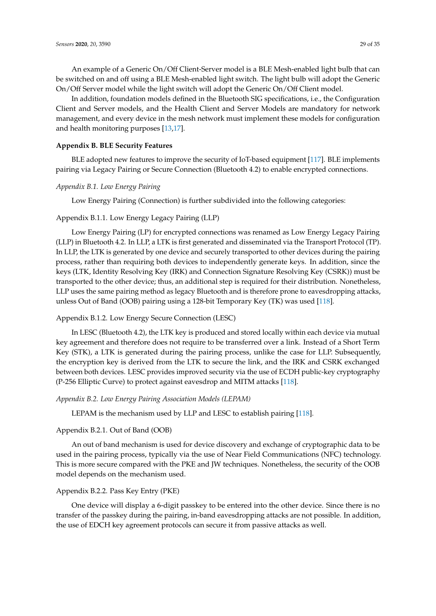An example of a Generic On/Off Client-Server model is a BLE Mesh-enabled light bulb that can be switched on and off using a BLE Mesh-enabled light switch. The light bulb will adopt the Generic On/Off Server model while the light switch will adopt the Generic On/Off Client model.

In addition, foundation models defined in the Bluetooth SIG specifications, i.e., the Configuration Client and Server models, and the Health Client and Server Models are mandatory for network management, and every device in the mesh network must implement these models for configuration and health monitoring purposes [\[13,](#page-29-7)[17\]](#page-30-2).

# <span id="page-28-0"></span>**Appendix B. BLE Security Features**

BLE adopted new features to improve the security of IoT-based equipment [\[117\]](#page-34-31). BLE implements pairing via Legacy Pairing or Secure Connection (Bluetooth 4.2) to enable encrypted connections.

### *Appendix B.1. Low Energy Pairing*

Low Energy Pairing (Connection) is further subdivided into the following categories:

# Appendix B.1.1. Low Energy Legacy Pairing (LLP)

Low Energy Pairing (LP) for encrypted connections was renamed as Low Energy Legacy Pairing (LLP) in Bluetooth 4.2. In LLP, a LTK is first generated and disseminated via the Transport Protocol (TP). In LLP, the LTK is generated by one device and securely transported to other devices during the pairing process, rather than requiring both devices to independently generate keys. In addition, since the keys (LTK, Identity Resolving Key (IRK) and Connection Signature Resolving Key (CSRK)) must be transported to the other device; thus, an additional step is required for their distribution. Nonetheless, LLP uses the same pairing method as legacy Bluetooth and is therefore prone to eavesdropping attacks, unless Out of Band (OOB) pairing using a 128-bit Temporary Key (TK) was used [\[118\]](#page-34-32).

# Appendix B.1.2. Low Energy Secure Connection (LESC)

In LESC (Bluetooth 4.2), the LTK key is produced and stored locally within each device via mutual key agreement and therefore does not require to be transferred over a link. Instead of a Short Term Key (STK), a LTK is generated during the pairing process, unlike the case for LLP. Subsequently, the encryption key is derived from the LTK to secure the link, and the IRK and CSRK exchanged between both devices. LESC provides improved security via the use of ECDH public-key cryptography (P-256 Elliptic Curve) to protect against eavesdrop and MITM attacks [\[118\]](#page-34-32).

### *Appendix B.2. Low Energy Pairing Association Models (LEPAM)*

LEPAM is the mechanism used by LLP and LESC to establish pairing [\[118\]](#page-34-32).

### Appendix B.2.1. Out of Band (OOB)

An out of band mechanism is used for device discovery and exchange of cryptographic data to be used in the pairing process, typically via the use of Near Field Communications (NFC) technology. This is more secure compared with the PKE and JW techniques. Nonetheless, the security of the OOB model depends on the mechanism used.

### Appendix B.2.2. Pass Key Entry (PKE)

One device will display a 6-digit passkey to be entered into the other device. Since there is no transfer of the passkey during the pairing, in-band eavesdropping attacks are not possible. In addition, the use of EDCH key agreement protocols can secure it from passive attacks as well.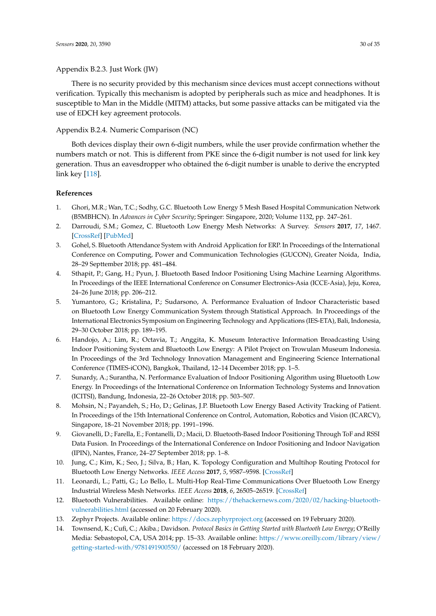There is no security provided by this mechanism since devices must accept connections without verification. Typically this mechanism is adopted by peripherals such as mice and headphones. It is susceptible to Man in the Middle (MITM) attacks, but some passive attacks can be mitigated via the use of EDCH key agreement protocols.

# Appendix B.2.4. Numeric Comparison (NC)

Both devices display their own 6-digit numbers, while the user provide confirmation whether the numbers match or not. This is different from PKE since the 6-digit number is not used for link key generation. Thus an eavesdropper who obtained the 6-digit number is unable to derive the encrypted link key [\[118\]](#page-34-32).

# **References**

- <span id="page-29-0"></span>1. Ghori, M.R.; Wan, T.C.; Sodhy, G.C. Bluetooth Low Energy 5 Mesh Based Hospital Communication Network (B5MBHCN). In *Advances in Cyber Security*; Springer: Singapore, 2020; Volume 1132, pp. 247–261.
- <span id="page-29-1"></span>2. Darroudi, S.M.; Gomez, C. Bluetooth Low Energy Mesh Networks: A Survey. *Sensors* **2017**, *17*, 1467. [\[CrossRef\]](http://dx.doi.org/10.3390/s17071467) [\[PubMed\]](http://www.ncbi.nlm.nih.gov/pubmed/28640183)
- <span id="page-29-2"></span>3. Gohel, S. Bluetooth Attendance System with Android Application for ERP. In Proceedings of the International Conference on Computing, Power and Communication Technologies (GUCON), Greater Noida, India, 28–29 Septtember 2018; pp. 481–484.
- <span id="page-29-9"></span>4. Sthapit, P.; Gang, H.; Pyun, J. Bluetooth Based Indoor Positioning Using Machine Learning Algorithms. In Proceedings of the IEEE International Conference on Consumer Electronics-Asia (ICCE-Asia), Jeju, Korea, 24–26 June 2018; pp. 206–212.
- <span id="page-29-10"></span>5. Yumantoro, G.; Kristalina, P.; Sudarsono, A. Performance Evaluation of Indoor Characteristic based on Bluetooth Low Energy Communication System through Statistical Approach. In Proceedings of the International Electronics Symposium on Engineering Technology and Applications (IES-ETA), Bali, Indonesia, 29–30 October 2018; pp. 189–195.
- 6. Handojo, A.; Lim, R.; Octavia, T.; Anggita, K. Museum Interactive Information Broadcasting Using Indoor Positioning System and Bluetooth Low Energy: A Pilot Project on Trowulan Museum Indonesia. In Proceedings of the 3rd Technology Innovation Management and Engineering Science International Conference (TIMES-iCON), Bangkok, Thailand, 12–14 December 2018; pp. 1–5.
- 7. Sunardy, A.; Surantha, N. Performance Evaluation of Indoor Positioning Algorithm using Bluetooth Low Energy. In Proceedings of the International Conference on Information Technology Systems and Innovation (ICITSI), Bandung, Indonesia, 22–26 October 2018; pp. 503–507.
- 8. Mohsin, N.; Payandeh, S.; Ho, D.; Gelinas, J.P. Bluetooth Low Energy Based Activity Tracking of Patient. In Proceedings of the 15th International Conference on Control, Automation, Robotics and Vision (ICARCV), Singapore, 18–21 November 2018; pp. 1991–1996.
- <span id="page-29-3"></span>9. Giovanelli, D.; Farella, E.; Fontanelli, D.; Macii, D. Bluetooth-Based Indoor Positioning Through ToF and RSSI Data Fusion. In Proceedings of the International Conference on Indoor Positioning and Indoor Navigation (IPIN), Nantes, France, 24–27 September 2018; pp. 1–8.
- <span id="page-29-4"></span>10. Jung, C.; Kim, K.; Seo, J.; Silva, B.; Han, K. Topology Configuration and Multihop Routing Protocol for Bluetooth Low Energy Networks. *IEEE Access* **2017**, *5*, 9587–9598. [\[CrossRef\]](http://dx.doi.org/10.1109/ACCESS.2017.2707556)
- <span id="page-29-5"></span>11. Leonardi, L.; Patti, G.; Lo Bello, L. Multi-Hop Real-Time Communications Over Bluetooth Low Energy Industrial Wireless Mesh Networks. *IEEE Access* **2018**, *6*, 26505–26519. [\[CrossRef\]](http://dx.doi.org/10.1109/ACCESS.2018.2834479)
- <span id="page-29-6"></span>12. Bluetooth Vulnerabilities. Available online: [https://thehackernews.com/2020/02/hacking-bluetooth]( https://thehackernews.com/2020/02/hacking-bluetooth-vulnerabilities.html)[vulnerabilities.html]( https://thehackernews.com/2020/02/hacking-bluetooth-vulnerabilities.html) (accessed on 20 February 2020).
- <span id="page-29-7"></span>13. Zephyr Projects. Available online: <https://docs.zephyrproject.org> (accessed on 19 February 2020).
- <span id="page-29-8"></span>14. Townsend, K.; Cufi, C.; Akiba.; Davidson. *Protocol Basics in Getting Started with Bluetooth Low Energy*; O'Reilly Media: Sebastopol, CA, USA 2014; pp. 15–33. Available online: [https://www.oreilly.com/library/view/](https://www.oreilly.com/library/view/getting-started-with/9781491900550/) [getting-started-with/9781491900550/](https://www.oreilly.com/library/view/getting-started-with/9781491900550/) (accessed on 18 February 2020).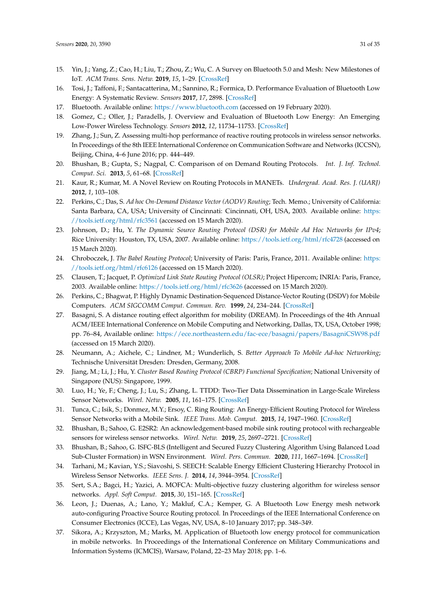- <span id="page-30-0"></span>15. Yin, J.; Yang, Z.; Cao, H.; Liu, T.; Zhou, Z.; Wu, C. A Survey on Bluetooth 5.0 and Mesh: New Milestones of IoT. *ACM Trans. Sens. Netw.* **2019**, *15*, 1–29. [\[CrossRef\]](http://dx.doi.org/10.1145/3317687)
- <span id="page-30-1"></span>16. Tosi, J.; Taffoni, F.; Santacatterina, M.; Sannino, R.; Formica, D. Performance Evaluation of Bluetooth Low Energy: A Systematic Review. *Sensors* **2017**, *17*, 2898. [\[CrossRef\]](http://dx.doi.org/10.3390/s17122898)
- <span id="page-30-2"></span>17. Bluetooth. Available online: <https://www.bluetooth.com> (accessed on 19 February 2020).
- <span id="page-30-3"></span>18. Gomez, C.; Oller, J.; Paradells, J. Overview and Evaluation of Bluetooth Low Energy: An Emerging Low-Power Wireless Technology. *Sensors* **2012**, *12*, 11734–11753. [\[CrossRef\]](http://dx.doi.org/10.3390/s120911734)
- <span id="page-30-4"></span>19. Zhang, J.; Sun, Z. Assessing multi-hop performance of reactive routing protocols in wireless sensor networks. In Proceedings of the 8th IEEE International Conference on Communication Software and Networks (ICCSN), Beijing, China, 4–6 June 2016; pp. 444–449.
- <span id="page-30-5"></span>20. Bhushan, B.; Gupta, S.; Nagpal, C. Comparison of on Demand Routing Protocols. *Int. J. Inf. Technol. Comput. Sci.* **2013**, *5*, 61–68. [\[CrossRef\]](http://dx.doi.org/10.5815/ijitcs.2013.03.08)
- <span id="page-30-6"></span>21. Kaur, R.; Kumar, M. A Novel Review on Routing Protocols in MANETs. *Undergrad. Acad. Res. J. (UARJ)* **2012**, *1*, 103–108.
- <span id="page-30-7"></span>22. Perkins, C.; Das, S. *Ad hoc On-Demand Distance Vector (AODV) Routing*; Tech. Memo.; University of California: Santa Barbara, CA, USA; University of Cincinnati: Cincinnati, OH, USA, 2003. Available online: [https:](https://tools.ietf.org/html/rfc3561) [//tools.ietf.org/html/rfc3561](https://tools.ietf.org/html/rfc3561) (accessed on 15 March 2020).
- <span id="page-30-8"></span>23. Johnson, D.; Hu, Y. *The Dynamic Source Routing Protocol (DSR) for Mobile Ad Hoc Networks for IPv4*; Rice University: Houston, TX, USA, 2007. Available online: <https://tools.ietf.org/html/rfc4728> (accessed on 15 March 2020).
- <span id="page-30-9"></span>24. Chroboczek, J. *The Babel Routing Protocol*; University of Paris: Paris, France, 2011. Available online: [https:](https://tools.ietf.org/html/rfc6126) [//tools.ietf.org/html/rfc6126](https://tools.ietf.org/html/rfc6126) (accessed on 15 March 2020).
- <span id="page-30-10"></span>25. Clausen, T.; Jacquet, P. *Optimized Link State Routing Protocol (OLSR)*; Project Hipercom; INRIA: Paris, France, 2003. Available online: <https://tools.ietf.org/html/rfc3626> (accessed on 15 March 2020).
- <span id="page-30-11"></span>26. Perkins, C.; Bhagwat, P. Highly Dynamic Destination-Sequenced Distance-Vector Routing (DSDV) for Mobile Computers. *ACM SIGCOMM Comput. Commun. Rev.* **1999**, *24*, 234–244. [\[CrossRef\]](http://dx.doi.org/10.1145/190809.190336)
- <span id="page-30-12"></span>27. Basagni, S. A distance routing effect algorithm for mobility (DREAM). In Proceedings of the 4th Annual ACM/IEEE International Conference on Mobile Computing and Networking, Dallas, TX, USA, October 1998; pp. 76–84, Available online: <https://ece.northeastern.edu/fac-ece/basagni/papers/BasagniCSW98.pdf> (accessed on 15 March 2020).
- <span id="page-30-13"></span>28. Neumann, A.; Aichele, C.; Lindner, M.; Wunderlich, S. *Better Approach To Mobile Ad-hoc Networking*; Technische Universität Dresden: Dresden, Germany, 2008.
- <span id="page-30-14"></span>29. Jiang, M.; Li, J.; Hu, Y. *Cluster Based Routing Protocol (CBRP) Functional Specification*; National University of Singapore (NUS): Singapore, 1999.
- <span id="page-30-15"></span>30. Luo, H.; Ye, F.; Cheng, J.; Lu, S.; Zhang, L. TTDD: Two-Tier Data Dissemination in Large-Scale Wireless Sensor Networks. *Wirel. Netw.* **2005**, *11*, 161–175. [\[CrossRef\]](http://dx.doi.org/10.1007/s11276-004-4753-x)
- <span id="page-30-16"></span>31. Tunca, C.; Isik, S.; Donmez, M.Y.; Ersoy, C. Ring Routing: An Energy-Efficient Routing Protocol for Wireless Sensor Networks with a Mobile Sink. *IEEE Trans. Mob. Comput.* **2015**, *14*, 1947–1960. [\[CrossRef\]](http://dx.doi.org/10.1109/TMC.2014.2366776)
- <span id="page-30-17"></span>32. Bhushan, B.; Sahoo, G. E2SR2: An acknowledgement-based mobile sink routing protocol with rechargeable sensors for wireless sensor networks. *Wirel. Netw.* **2019**, *25*, 2697–2721. [\[CrossRef\]](http://dx.doi.org/10.1007/s11276-019-01988-7)
- <span id="page-30-18"></span>33. Bhushan, B.; Sahoo, G. ISFC-BLS (Intelligent and Secured Fuzzy Clustering Algorithm Using Balanced Load Sub-Cluster Formation) in WSN Environment. *Wirel. Pers. Commun.* **2020**, *111*, 1667–1694. [\[CrossRef\]](http://dx.doi.org/10.1007/s11277-019-06948-0)
- <span id="page-30-19"></span>34. Tarhani, M.; Kavian, Y.S.; Siavoshi, S. SEECH: Scalable Energy Efficient Clustering Hierarchy Protocol in Wireless Sensor Networks. *IEEE Sens. J.* **2014**, *14*, 3944–3954. [\[CrossRef\]](http://dx.doi.org/10.1109/JSEN.2014.2358567)
- <span id="page-30-20"></span>35. Sert, S.A.; Bagci, H.; Yazici, A. MOFCA: Multi-objective fuzzy clustering algorithm for wireless sensor networks. *Appl. Soft Comput.* **2015**, *30*, 151–165. [\[CrossRef\]](http://dx.doi.org/10.1016/j.asoc.2014.11.063)
- <span id="page-30-21"></span>36. Leon, J.; Duenas, A.; Lano, Y.; Makluf, C.A.; Kemper, G. A Bluetooth Low Energy mesh network auto-configuring Proactive Source Routing protocol. In Proceedings of the IEEE International Conference on Consumer Electronics (ICCE), Las Vegas, NV, USA, 8–10 January 2017; pp. 348–349.
- 37. Sikora, A.; Krzyszton, M.; Marks, M. Application of Bluetooth low energy protocol for communication in mobile networks. In Proceedings of the International Conference on Military Communications and Information Systems (ICMCIS), Warsaw, Poland, 22–23 May 2018; pp. 1–6.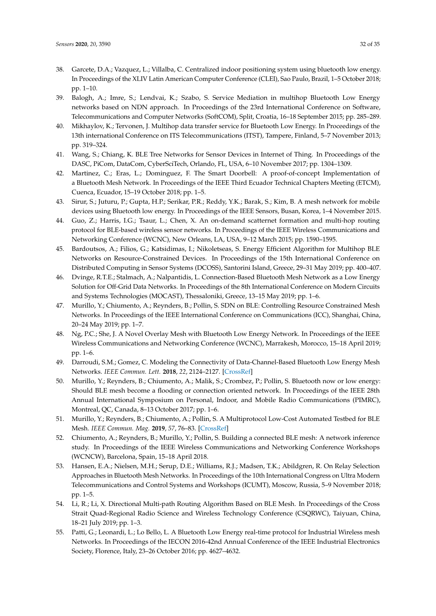- <span id="page-31-18"></span><span id="page-31-0"></span>38. Garcete, D.A.; Vazquez, L.; Villalba, C. Centralized indoor positioning system using bluetooth low energy. In Proceedings of the XLIV Latin American Computer Conference (CLEI), Sao Paulo, Brazil, 1–5 October 2018; pp. 1–10.
- <span id="page-31-19"></span><span id="page-31-1"></span>39. Balogh, A.; Imre, S.; Lendvai, K.; Szabo, S. Service Mediation in multihop Bluetooth Low Energy networks based on NDN approach. In Proceedings of the 23rd International Conference on Software, Telecommunications and Computer Networks (SoftCOM), Split, Croatia, 16–18 September 2015; pp. 285–289.
- <span id="page-31-2"></span>40. Mikhaylov, K.; Tervonen, J. Multihop data transfer service for Bluetooth Low Energy. In Proceedings of the 13th international Conference on ITS Telecommunications (ITST), Tampere, Finland, 5–7 November 2013; pp. 319–324.
- <span id="page-31-3"></span>41. Wang, S.; Chiang, K. BLE Tree Networks for Sensor Devices in Internet of Thing. In Proceedings of the DASC, PiCom, DataCom, CyberSciTech, Orlando, FL, USA, 6–10 November 2017; pp. 1304–1309.
- <span id="page-31-20"></span><span id="page-31-4"></span>42. Martinez, C.; Eras, L.; Dominguez, F. The Smart Doorbell: A proof-of-concept Implementation of a Bluetooth Mesh Network. In Proceedings of the IEEE Third Ecuador Technical Chapters Meeting (ETCM), Cuenca, Ecuador, 15–19 October 2018; pp. 1–5.
- <span id="page-31-21"></span><span id="page-31-5"></span>43. Sirur, S.; Juturu, P.; Gupta, H.P.; Serikar, P.R.; Reddy, Y.K.; Barak, S.; Kim, B. A mesh network for mobile devices using Bluetooth low energy. In Proceedings of the IEEE Sensors, Busan, Korea, 1–4 November 2015.
- <span id="page-31-6"></span>44. Guo, Z.; Harris, I.G.; Tsaur, L.; Chen, X. An on-demand scatternet formation and multi-hop routing protocol for BLE-based wireless sensor networks. In Proceedings of the IEEE Wireless Communications and Networking Conference (WCNC), New Orleans, LA, USA, 9–12 March 2015; pp. 1590–1595.
- <span id="page-31-23"></span><span id="page-31-22"></span><span id="page-31-7"></span>45. Bardoutsos, A.; Filios, G.; Katsidimas, I.; Nikoletseas, S. Energy Efficient Algorithm for Multihop BLE Networks on Resource-Constrained Devices. In Proceedings of the 15th International Conference on Distributed Computing in Sensor Systems (DCOSS), Santorini Island, Greece, 29–31 May 2019; pp. 400–407.
- <span id="page-31-24"></span><span id="page-31-8"></span>46. Dvinge, R.T.E.; Stalmach, A.; Nalpantidis, L. Connection-Based Bluetooth Mesh Network as a Low Energy Solution for Off-Grid Data Networks. In Proceedings of the 8th International Conference on Modern Circuits and Systems Technologies (MOCAST), Thessaloniki, Greece, 13–15 May 2019; pp. 1–6.
- <span id="page-31-9"></span>47. Murillo, Y.; Chiumento, A.; Reynders, B.; Pollin, S. SDN on BLE: Controlling Resource Constrained Mesh Networks. In Proceedings of the IEEE International Conference on Communications (ICC), Shanghai, China, 20–24 May 2019; pp. 1–7.
- <span id="page-31-25"></span><span id="page-31-10"></span>48. Ng, P.C.; She, J. A Novel Overlay Mesh with Bluetooth Low Energy Network. In Proceedings of the IEEE Wireless Communications and Networking Conference (WCNC), Marrakesh, Morocco, 15–18 April 2019; pp. 1–6.
- <span id="page-31-26"></span><span id="page-31-11"></span>49. Darroudi, S.M.; Gomez, C. Modeling the Connectivity of Data-Channel-Based Bluetooth Low Energy Mesh Networks. *IEEE Commun. Lett.* **2018**, *22*, 2124–2127. [\[CrossRef\]](http://dx.doi.org/10.1109/LCOMM.2018.2864994)
- <span id="page-31-12"></span>50. Murillo, Y.; Reynders, B.; Chiumento, A.; Malik, S.; Crombez, P.; Pollin, S. Bluetooth now or low energy: Should BLE mesh become a flooding or connection oriented network. In Proceedings of the IEEE 28th Annual International Symposium on Personal, Indoor, and Mobile Radio Communications (PIMRC), Montreal, QC, Canada, 8–13 October 2017; pp. 1–6.
- <span id="page-31-13"></span>51. Murillo, Y.; Reynders, B.; Chiumento, A.; Pollin, S. A Multiprotocol Low-Cost Automated Testbed for BLE Mesh. *IEEE Commun. Mag.* **2019**, *57*, 76–83. [\[CrossRef\]](http://dx.doi.org/10.1109/MCOM.2019.1800122)
- <span id="page-31-14"></span>52. Chiumento, A.; Reynders, B.; Murillo, Y.; Pollin, S. Building a connected BLE mesh: A network inference study. In Proceedings of the IEEE Wireless Communications and Networking Conference Workshops (WCNCW), Barcelona, Spain, 15–18 April 2018.
- <span id="page-31-15"></span>53. Hansen, E.A.; Nielsen, M.H.; Serup, D.E.; Williams, R.J.; Madsen, T.K.; Abildgren, R. On Relay Selection Approaches in Bluetooth Mesh Networks. In Proceedings of the 10th International Congress on Ultra Modern Telecommunications and Control Systems and Workshops (ICUMT), Moscow, Russia, 5–9 November 2018; pp. 1–5.
- <span id="page-31-16"></span>54. Li, R.; Li, X. Directional Multi-path Routing Algorithm Based on BLE Mesh. In Proceedings of the Cross Strait Quad-Regional Radio Science and Wireless Technology Conference (CSQRWC), Taiyuan, China, 18–21 July 2019; pp. 1–3.
- <span id="page-31-17"></span>55. Patti, G.; Leonardi, L.; Lo Bello, L. A Bluetooth Low Energy real-time protocol for Industrial Wireless mesh Networks. In Proceedings of the IECON 2016-42nd Annual Conference of the IEEE Industrial Electronics Society, Florence, Italy, 23–26 October 2016; pp. 4627–4632.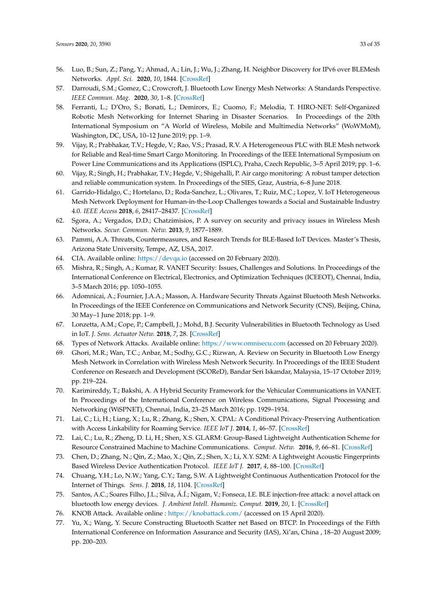- <span id="page-32-7"></span><span id="page-32-6"></span><span id="page-32-0"></span>56. Luo, B.; Sun, Z.; Pang, Y.; Ahmad, A.; Lin, J.; Wu, J.; Zhang, H. Neighbor Discovery for IPv6 over BLEMesh Networks. *Appl. Sci.* **2020**, *10*, 1844. [\[CrossRef\]](http://dx.doi.org/10.3390/app10051844)
- <span id="page-32-1"></span>57. Darroudi, S.M.; Gomez, C.; Crowcroft, J. Bluetooth Low Energy Mesh Networks: A Standards Perspective. *IEEE Commun. Mag.* **2020**, *30*, 1–8. [\[CrossRef\]](http://dx.doi.org/10.1109/MCOM.001.1900523)
- <span id="page-32-2"></span>58. Ferranti, L.; D'Oro, S.; Bonati, L.; Demirors, E.; Cuomo, F.; Melodia, T. HIRO-NET: Self-Organized Robotic Mesh Networking for Internet Sharing in Disaster Scenarios. In Proceedings of the 20th International Symposium on "A World of Wireless, Mobile and Multimedia Networks" (WoWMoM), Washington, DC, USA, 10–12 June 2019; pp. 1–9.
- <span id="page-32-3"></span>59. Vijay, R.; Prabhakar, T.V.; Hegde, V.; Rao, V.S.; Prasad, R.V. A Heterogeneous PLC with BLE Mesh network for Reliable and Real-time Smart Cargo Monitoring. In Proceedings of the IEEE International Symposium on Power Line Communications and its Applications (ISPLC), Praha, Czech Republic, 3–5 April 2019; pp. 1–6.
- <span id="page-32-4"></span>60. Vijay, R.; Singh, H.; Prabhakar, T.V.; Hegde, V.; Shigehalli, P. Air cargo monitoring: A robust tamper detection and reliable communication system. In Proceedings of the SIES, Graz, Austria, 6–8 June 2018.
- <span id="page-32-5"></span>61. Garrido-Hidalgo, C.; Hortelano, D.; Roda-Sanchez, L.; Olivares, T.; Ruiz, M.C.; Lopez, V. IoT Heterogeneous Mesh Network Deployment for Human-in-the-Loop Challenges towards a Social and Sustainable Industry 4.0. *IEEE Access* **2018**, *6*, 28417–28437. [\[CrossRef\]](http://dx.doi.org/10.1109/ACCESS.2018.2836677)
- <span id="page-32-8"></span>62. Sgora, A.; Vergados, D.D.; Chatzimisios, P. A survey on security and privacy issues in Wireless Mesh Networks. *Secur. Commun. Netw.* **2013**, *9*, 1877–1889.
- <span id="page-32-9"></span>63. Pammi, A.A. Threats, Countermeasures, and Research Trends for BLE-Based IoT Devices. Master's Thesis, Arizona State University, Tempe, AZ, USA, 2017.
- <span id="page-32-10"></span>64. CIA. Available online: <https://devqa.io> (accessed on 20 February 2020).
- <span id="page-32-11"></span>65. Mishra, R.; Singh, A.; Kumar, R. VANET Security: Issues, Challenges and Solutions. In Proceedings of the International Conference on Electrical, Electronics, and Optimization Techniques (ICEEOT), Chennai, India, 3–5 March 2016; pp. 1050–1055.
- <span id="page-32-12"></span>66. Adomnicai, A.; Fournier, J.A.A.; Masson, A. Hardware Security Threats Against Bluetooth Mesh Networks. In Proceedings of the IEEE Conference on Communications and Network Security (CNS), Beijing, China, 30 May–1 June 2018; pp. 1–9.
- <span id="page-32-13"></span>67. Lonzetta, A.M.; Cope, P.; Campbell, J.; Mohd, B.J. Security Vulnerabilities in Bluetooth Technology as Used in IoT. *J. Sens. Actuator Netw.* **2018**, *7*, 28. [\[CrossRef\]](http://dx.doi.org/10.3390/jsan7030028)
- <span id="page-32-14"></span>68. Types of Network Attacks. Available online: <https://www.omnisecu.com> (accessed on 20 February 2020).
- <span id="page-32-15"></span>69. Ghori, M.R.; Wan, T.C.; Anbar, M.; Sodhy, G.C.; Rizwan, A. Review on Security in Bluetooth Low Energy Mesh Network in Correlation with Wireless Mesh Network Security. In Proceedings of the IEEE Student Conference on Research and Development (SCOReD), Bandar Seri Iskandar, Malaysia, 15–17 October 2019; pp. 219–224.
- <span id="page-32-16"></span>70. Karimireddy, T.; Bakshi, A. A Hybrid Security Framework for the Vehicular Communications in VANET. In Proceedings of the International Conference on Wireless Communications, Signal Processing and Networking (WiSPNET), Chennai, India, 23–25 March 2016; pp. 1929–1934.
- <span id="page-32-17"></span>71. Lai, C.; Li, H.; Liang, X.; Lu, R.; Zhang, K.; Shen, X. CPAL: A Conditional Privacy-Preserving Authentication with Access Linkability for Roaming Service. *IEEE IoT J.* **2014**, *1*, 46–57. [\[CrossRef\]](http://dx.doi.org/10.1109/JIOT.2014.2306673)
- <span id="page-32-18"></span>72. Lai, C.; Lu, R.; Zheng, D. Li, H.; Shen, X.S. GLARM: Group-Based Lightweight Authentication Scheme for Resource Constrained Machine to Machine Communications. *Comput. Netw.* **2016**, *9*, 66–81. [\[CrossRef\]](http://dx.doi.org/10.1016/j.comnet.2016.02.007)
- <span id="page-32-19"></span>73. Chen, D.; Zhang, N.; Qin, Z.; Mao, X.; Qin, Z.; Shen, X.; Li, X.Y. S2M: A Lightweight Acoustic Fingerprints Based Wireless Device Authentication Protocol. *IEEE IoT J.* **2017**, *4*, 88–100. [\[CrossRef\]](http://dx.doi.org/10.1109/JIOT.2016.2619679)
- <span id="page-32-20"></span>74. Chuang, Y.H.; Lo, N.W.; Yang, C.Y.; Tang, S.W. A Lightweight Continuous Authentication Protocol for the Internet of Things. *Sens. J.* **2018**, *18*, 1104. [\[CrossRef\]](http://dx.doi.org/10.3390/s18041104)
- <span id="page-32-21"></span>75. Santos, A.C.; Soares Filho, J.L.; Silva, Á.Í.; Nigam, V.; Fonseca, I.E. BLE injection-free attack: a novel attack on bluetooth low energy devices. *J. Ambient Intell. Humaniz. Comput.* **2019**, *20*, 1. [\[CrossRef\]](http://dx.doi.org/10.1007/s12652-019-01502-z)
- <span id="page-32-22"></span>76. KNOB Attack. Available online : <https://knobattack.com/> (accessed on 15 April 2020).
- <span id="page-32-23"></span>77. Yu, X.; Wang, Y. Secure Constructing Bluetooth Scatter net Based on BTCP. In Proceedings of the Fifth International Conference on Information Assurance and Security (IAS), Xi'an, China , 18–20 August 2009; pp. 200–203.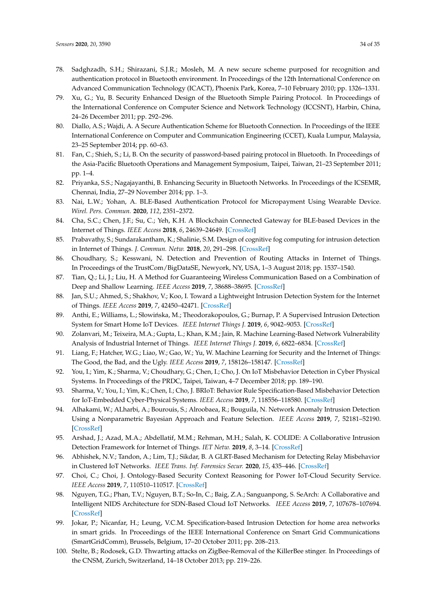- <span id="page-33-22"></span><span id="page-33-21"></span><span id="page-33-0"></span>78. Sadghzadh, S.H.; Shirazani, S.J.R.; Mosleh, M. A new secure scheme purposed for recognition and authentication protocol in Bluetooth environment. In Proceedings of the 12th International Conference on Advanced Communication Technology (ICACT), Phoenix Park, Korea, 7–10 February 2010; pp. 1326–1331.
- <span id="page-33-24"></span><span id="page-33-23"></span><span id="page-33-1"></span>79. Xu, G.; Yu, B. Security Enhanced Design of the Bluetooth Simple Pairing Protocol. In Proceedings of the International Conference on Computer Science and Network Technology (ICCSNT), Harbin, China, 24–26 December 2011; pp. 292–296.
- <span id="page-33-25"></span><span id="page-33-2"></span>80. Diallo, A.S.; Wajdi, A. A Secure Authentication Scheme for Bluetooth Connection. In Proceedings of the IEEE International Conference on Computer and Communication Engineering (CCET), Kuala Lumpur, Malaysia, 23–25 September 2014; pp. 60–63.
- <span id="page-33-3"></span>81. Fan, C.; Shieh, S.; Li, B. On the security of password-based pairing protocol in Bluetooth. In Proceedings of the Asia-Pacific Bluetooth Operations and Management Symposium, Taipei, Taiwan, 21–23 September 2011; pp. 1–4.
- <span id="page-33-26"></span><span id="page-33-4"></span>82. Priyanka, S.S.; Nagajayanthi, B. Enhancing Security in Bluetooth Networks. In Proceedings of the ICSEMR, Chennai, India, 27–29 November 2014; pp. 1–3.
- <span id="page-33-27"></span><span id="page-33-5"></span>83. Nai, L.W.; Yohan, A. BLE-Based Authentication Protocol for Micropayment Using Wearable Device. *Wirel. Pers. Commun.* **2020**, *112*, 2351–2372.
- <span id="page-33-28"></span><span id="page-33-6"></span>84. Cha, S.C.; Chen, J.F.; Su, C.; Yeh, K.H. A Blockchain Connected Gateway for BLE-based Devices in the Internet of Things. *IEEE Access* **2018**, *6*, 24639–24649. [\[CrossRef\]](http://dx.doi.org/10.1109/ACCESS.2018.2799942)
- <span id="page-33-7"></span>85. Prabavathy, S.; Sundarakantham, K.; Shalinie, S.M. Design of cognitive fog computing for intrusion detection in Internet of Things. *J. Commun. Netw.* **2018**, *20*, 291–298. [\[CrossRef\]](http://dx.doi.org/10.1109/JCN.2018.000041)
- <span id="page-33-8"></span>86. Choudhary, S.; Kesswani, N. Detection and Prevention of Routing Attacks in Internet of Things. In Proceedings of the TrustCom/BigDataSE, Newyork, NY, USA, 1–3 August 2018; pp. 1537–1540.
- <span id="page-33-29"></span><span id="page-33-9"></span>87. Tian, Q.; Li, J.; Liu, H. A Method for Guaranteeing Wireless Communication Based on a Combination of Deep and Shallow Learning. *IEEE Access* **2019**, *7*, 38688–38695. [\[CrossRef\]](http://dx.doi.org/10.1109/ACCESS.2019.2905754)
- <span id="page-33-30"></span><span id="page-33-10"></span>88. Jan, S.U.; Ahmed, S.; Shakhov, V.; Koo, I. Toward a Lightweight Intrusion Detection System for the Internet of Things. *IEEE Access* **2019**, *7*, 42450–42471. [\[CrossRef\]](http://dx.doi.org/10.1109/ACCESS.2019.2907965)
- <span id="page-33-31"></span><span id="page-33-11"></span>89. Anthi, E.; Williams, L.; Słowińska, M.; Theodorakopoulos, G.; Burnap, P. A Supervised Intrusion Detection System for Smart Home IoT Devices. *IEEE Internet Things J.* **2019**, *6*, 9042–9053. [\[CrossRef\]](http://dx.doi.org/10.1109/JIOT.2019.2926365)
- <span id="page-33-34"></span><span id="page-33-12"></span>90. Zolanvari, M.; Teixeira, M.A.; Gupta, L.; Khan, K.M.; Jain, R. Machine Learning-Based Network Vulnerability Analysis of Industrial Internet of Things. *IEEE Internet Things J.* **2019**, *6*, 6822–6834. [\[CrossRef\]](http://dx.doi.org/10.1109/JIOT.2019.2912022)
- <span id="page-33-13"></span>91. Liang, F.; Hatcher, W.G.; Liao, W.; Gao, W.; Yu, W. Machine Learning for Security and the Internet of Things: The Good, the Bad, and the Ugly. *IEEE Access* **2019**, *7*, 158126–158147. [\[CrossRef\]](http://dx.doi.org/10.1109/ACCESS.2019.2948912)
- <span id="page-33-14"></span>92. You, I.; Yim, K.; Sharma, V.; Choudhary, G.; Chen, I.; Cho, J. On IoT Misbehavior Detection in Cyber Physical Systems. In Proceedings of the PRDC, Taipei, Taiwan, 4–7 December 2018; pp. 189–190.
- <span id="page-33-15"></span>93. Sharma, V.; You, I.; Yim, K.; Chen, I.; Cho, J. BRIoT: Behavior Rule Specification-Based Misbehavior Detection for IoT-Embedded Cyber-Physical Systems. *IEEE Access* **2019**, *7*, 118556–118580. [\[CrossRef\]](http://dx.doi.org/10.1109/ACCESS.2019.2917135)
- <span id="page-33-16"></span>94. Alhakami, W.; ALharbi, A.; Bourouis, S.; Alroobaea, R.; Bouguila, N. Network Anomaly Intrusion Detection Using a Nonparametric Bayesian Approach and Feature Selection. *IEEE Access* **2019**, *7*, 52181–52190. [\[CrossRef\]](http://dx.doi.org/10.1109/ACCESS.2019.2912115)
- <span id="page-33-17"></span>95. Arshad, J.; Azad, M.A.; Abdellatif, M.M.; Rehman, M.H.; Salah, K. COLIDE: A Collaborative Intrusion Detection Framework for Internet of Things. *IET Netw.* **2019**, *8*, 3–14. [\[CrossRef\]](http://dx.doi.org/10.1049/iet-net.2018.5036)
- <span id="page-33-18"></span>96. Abhishek, N.V.; Tandon, A.; Lim, T.J.; Sikdar, B. A GLRT-Based Mechanism for Detecting Relay Misbehavior in Clustered IoT Networks. *IEEE Trans. Inf. Forensics Secur.* **2020**, *15*, 435–446. [\[CrossRef\]](http://dx.doi.org/10.1109/TIFS.2019.2922262)
- <span id="page-33-19"></span>97. Choi, C.; Choi, J. Ontology-Based Security Context Reasoning for Power IoT-Cloud Security Service. *IEEE Access* **2019**, *7*, 110510–110517. [\[CrossRef\]](http://dx.doi.org/10.1109/ACCESS.2019.2933859)
- <span id="page-33-20"></span>98. Nguyen, T.G.; Phan, T.V.; Nguyen, B.T.; So-In, C.; Baig, Z.A.; Sanguanpong, S. SeArch: A Collaborative and Intelligent NIDS Architecture for SDN-Based Cloud IoT Networks. *IEEE Access* **2019**, *7*, 107678–107694. [\[CrossRef\]](http://dx.doi.org/10.1109/ACCESS.2019.2932438)
- <span id="page-33-32"></span>99. Jokar, P.; Nicanfar, H.; Leung, V.C.M. Specification-based Intrusion Detection for home area networks in smart grids. In Proceedings of the IEEE International Conference on Smart Grid Communications (SmartGridComm), Brussels, Belgium, 17–20 October 2011; pp. 208–213.
- <span id="page-33-33"></span>100. Stelte, B.; Rodosek, G.D. Thwarting attacks on ZigBee-Removal of the KillerBee stinger. In Proceedings of the CNSM, Zurich, Switzerland, 14–18 October 2013; pp. 219–226.